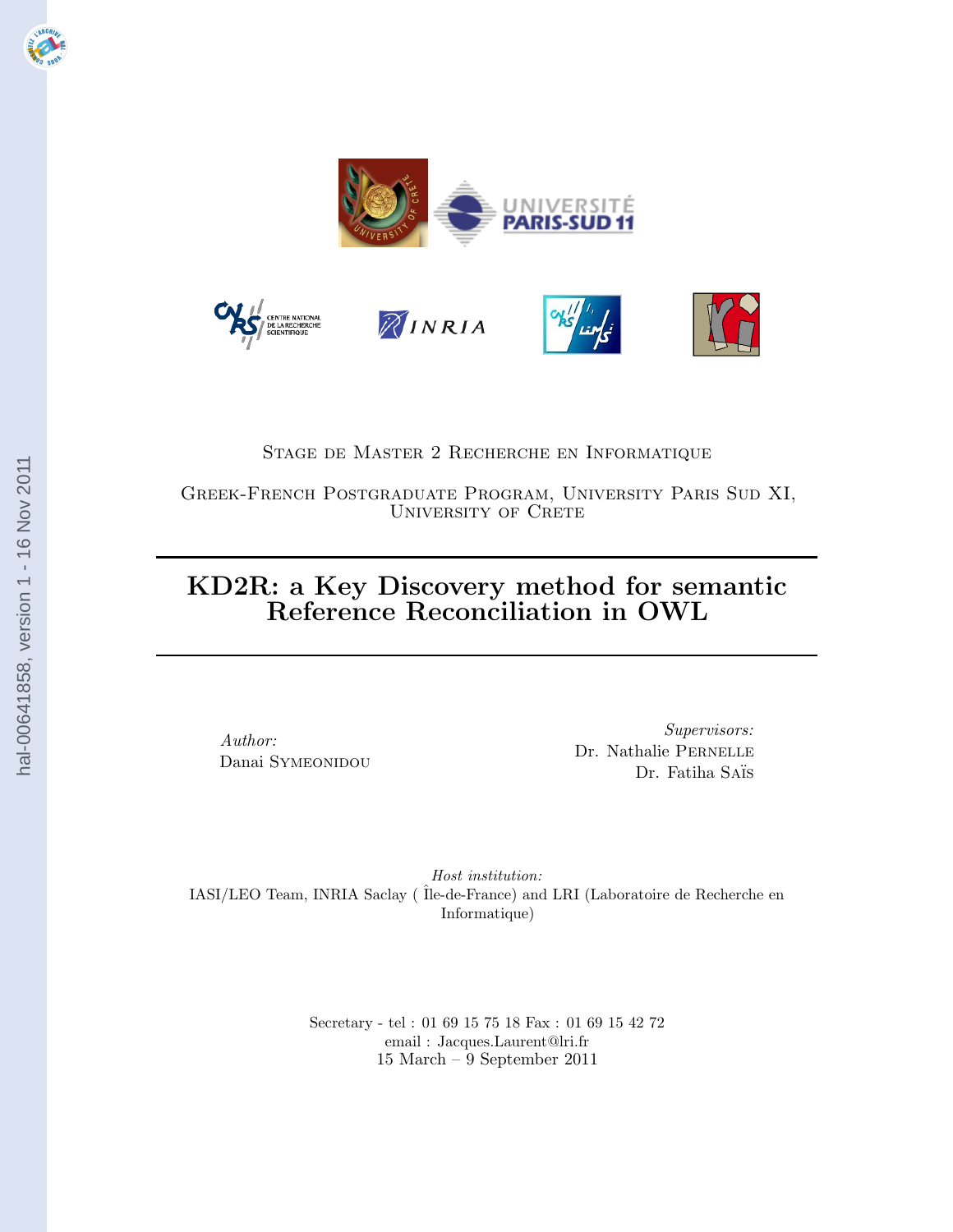

## Stage de Master 2 Recherche en Informatique

Greek-French Postgraduate Program, University Paris Sud XI, UNIVERSITY OF CRETE

# KD2R: a Key Discovery method for semantic Reference Reconciliation in OWL

Author: Danai SYMEONIDOU

Supervisors: Dr. Nathalie Pernelle Dr. Fatiha Saïs

Host institution: IASI/LEO Team, INRIA Saclay ( ˆIle-de-France) and LRI (Laboratoire de Recherche en Informatique)

> Secretary - tel : 01 69 15 75 18 Fax : 01 69 15 42 72 email : Jacques.Laurent@lri.fr 15 March – 9 September 2011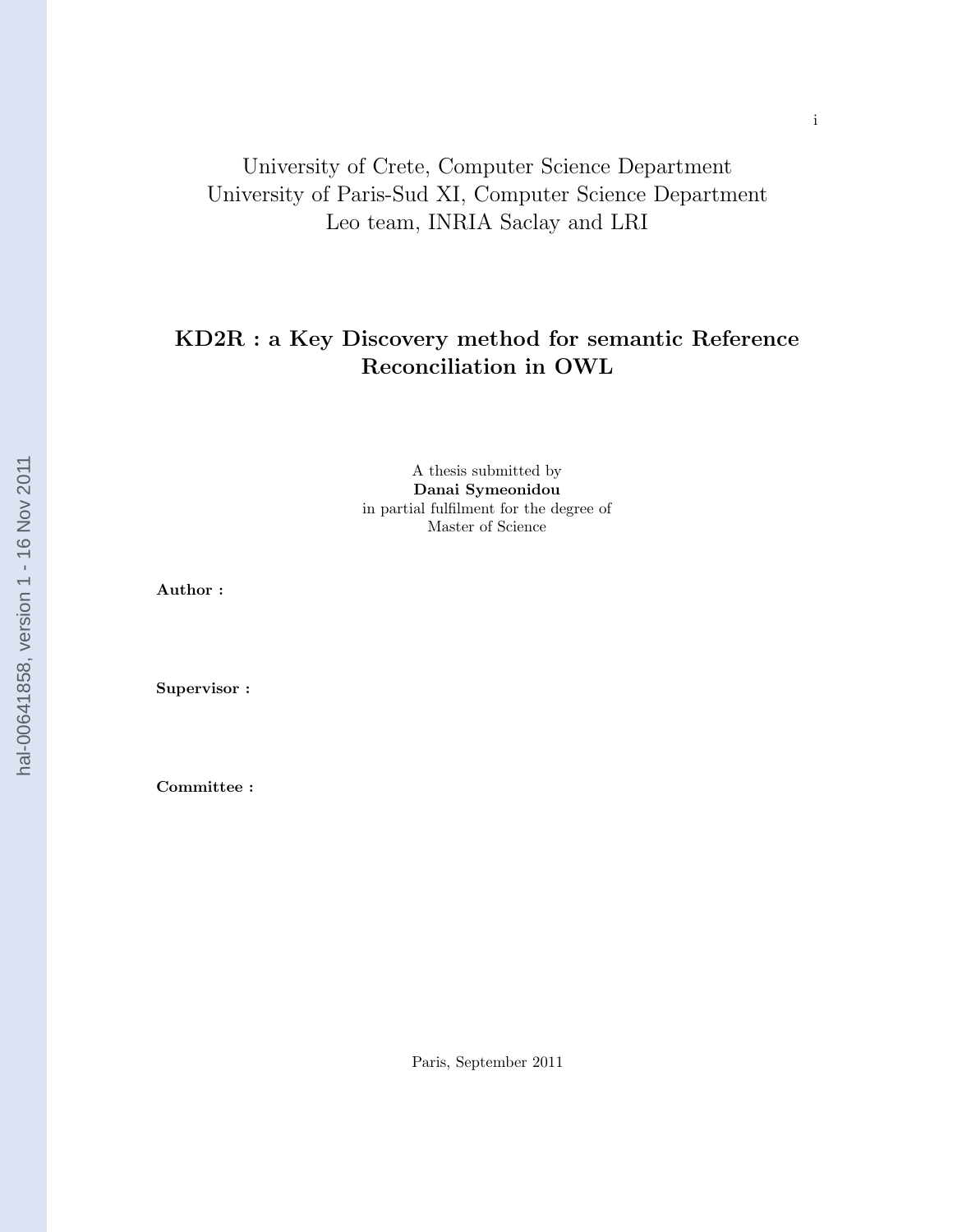# University of Crete, Computer Science Department University of Paris-Sud XI, Computer Science Department Leo team, INRIA Saclay and LRI

## KD2R : a Key Discovery method for semantic Reference Reconciliation in OWL

A thesis submitted by Danai Symeonidou in partial fulfilment for the degree of Master of Science

Author :

Supervisor :

Committee :

Paris, September 2011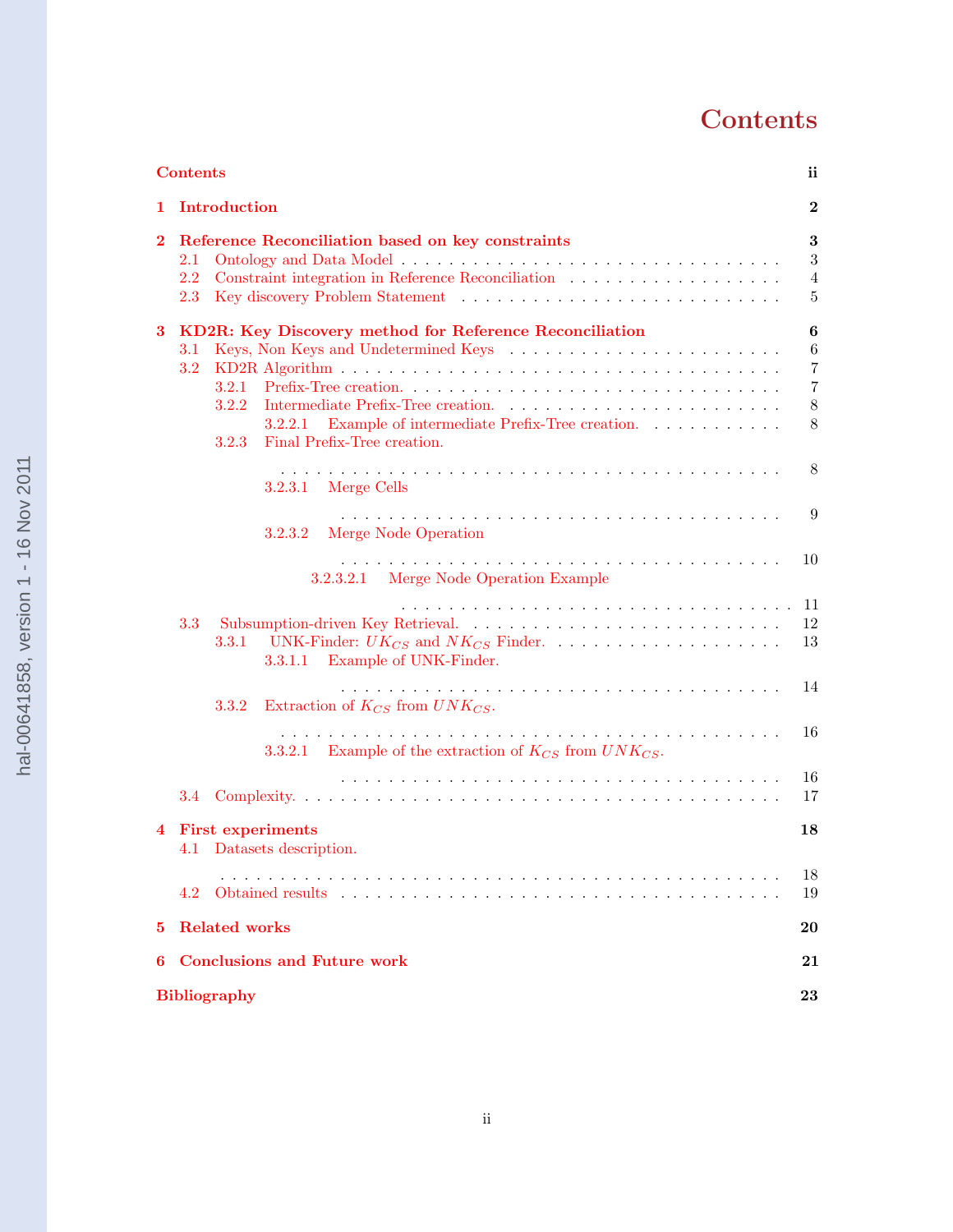# **Contents**

|                | <b>Contents</b><br>ii.                                                                                                                                                                                                                                                                                                                                                                                                                                                                   |                                                                              |  |  |  |  |  |  |  |  |
|----------------|------------------------------------------------------------------------------------------------------------------------------------------------------------------------------------------------------------------------------------------------------------------------------------------------------------------------------------------------------------------------------------------------------------------------------------------------------------------------------------------|------------------------------------------------------------------------------|--|--|--|--|--|--|--|--|
|                | 1 Introduction                                                                                                                                                                                                                                                                                                                                                                                                                                                                           |                                                                              |  |  |  |  |  |  |  |  |
| $\bf{2}$       | 3<br>Reference Reconciliation based on key constraints<br>$2.1\,$<br>Constraint integration in Reference Reconciliation<br>$\hfill\ldots\ldots\ldots\ldots\ldots\ldots\ldots\ldots\ldots$<br>2.2<br>Key discovery Problem Statement (a) and (b) $\alpha$ is a set of $\alpha$ is a set of $\alpha$ is a set of $\alpha$ is a set of $\alpha$ is a set of $\alpha$ is a set of $\alpha$ is a set of $\alpha$ is a set of $\alpha$ is a set of $\alpha$ is a set of $\alpha$ is<br>$2.3\,$ |                                                                              |  |  |  |  |  |  |  |  |
| 3              | KD2R: Key Discovery method for Reference Reconciliation<br>Keys, Non Keys and Undetermined Keys<br>3.1<br>3.2<br>3.2.1<br>3.2.2<br>3.2.2.1 Example of intermediate Prefix-Tree creation. $\ldots \ldots \ldots \ldots$<br>Final Prefix-Tree creation.<br>3.2.3<br>3.2.3.1 Merge Cells<br>Merge Node Operation<br>3.2.3.2<br>3.2.3.2.1 Merge Node Operation Example                                                                                                                       | 6<br>$\,6$<br>$\overline{7}$<br>$\overline{7}$<br>$8\,$<br>8<br>8<br>9<br>10 |  |  |  |  |  |  |  |  |
|                | 3.3<br>3.3.1<br>3.3.1.1 Example of UNK-Finder.                                                                                                                                                                                                                                                                                                                                                                                                                                           | 11<br>12<br>13                                                               |  |  |  |  |  |  |  |  |
|                | Extraction of $K_{CS}$ from $UNK_{CS}$ .<br>3.3.2                                                                                                                                                                                                                                                                                                                                                                                                                                        | 14                                                                           |  |  |  |  |  |  |  |  |
|                | 3.3.2.1 Example of the extraction of $K_{CS}$ from $UNK_{CS}$ .                                                                                                                                                                                                                                                                                                                                                                                                                          | 16                                                                           |  |  |  |  |  |  |  |  |
|                | 3.4                                                                                                                                                                                                                                                                                                                                                                                                                                                                                      | 16<br>17                                                                     |  |  |  |  |  |  |  |  |
| $\overline{4}$ | <b>First experiments</b><br>4.1 Datasets description.                                                                                                                                                                                                                                                                                                                                                                                                                                    | 18                                                                           |  |  |  |  |  |  |  |  |
|                | 4.2                                                                                                                                                                                                                                                                                                                                                                                                                                                                                      | 18<br>19                                                                     |  |  |  |  |  |  |  |  |
| 5              | <b>Related works</b><br>20                                                                                                                                                                                                                                                                                                                                                                                                                                                               |                                                                              |  |  |  |  |  |  |  |  |
| 6              | <b>Conclusions and Future work</b><br>21                                                                                                                                                                                                                                                                                                                                                                                                                                                 |                                                                              |  |  |  |  |  |  |  |  |
|                | <b>Bibliography</b><br>23                                                                                                                                                                                                                                                                                                                                                                                                                                                                |                                                                              |  |  |  |  |  |  |  |  |
|                |                                                                                                                                                                                                                                                                                                                                                                                                                                                                                          |                                                                              |  |  |  |  |  |  |  |  |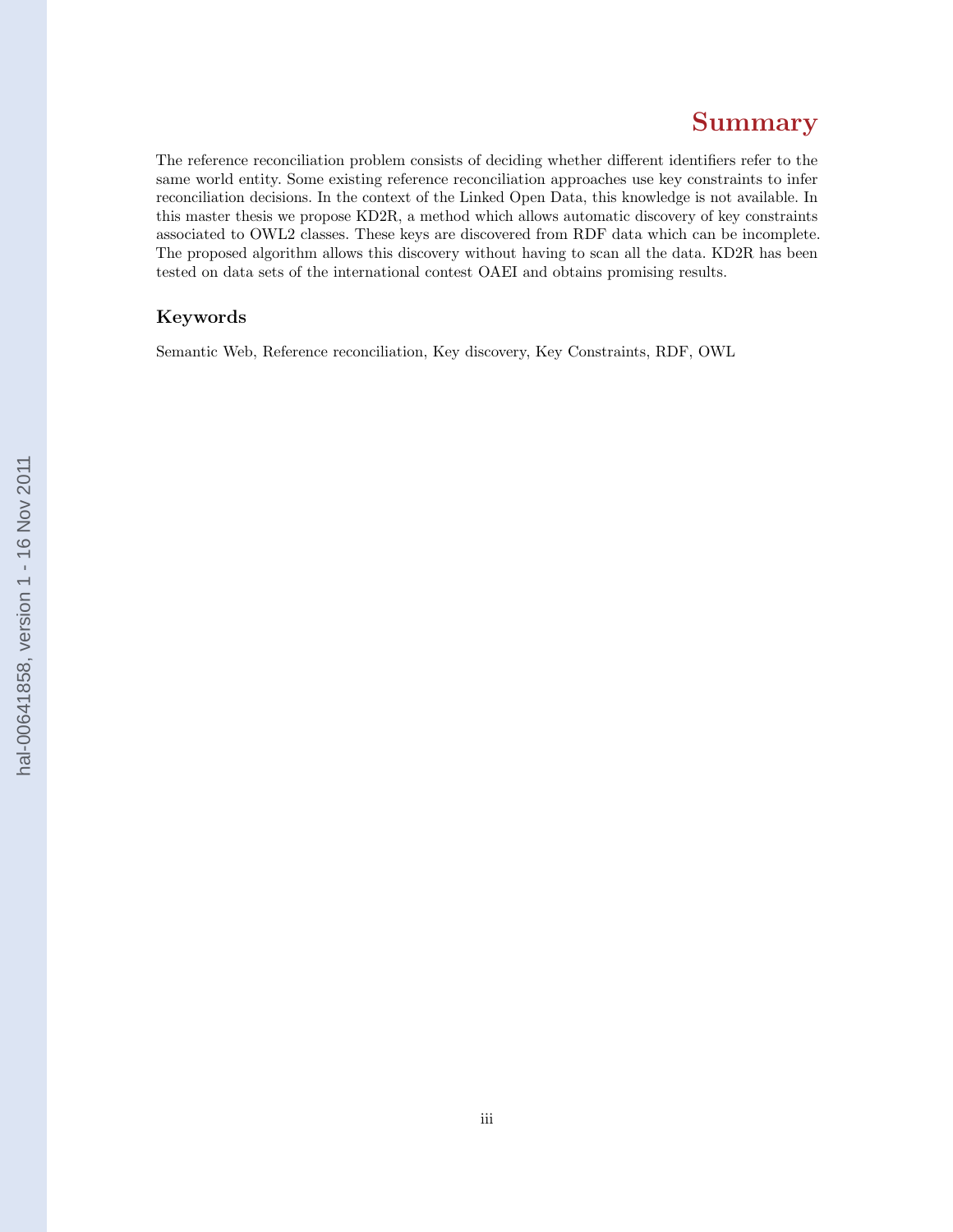# Summary

The reference reconciliation problem consists of deciding whether different identifiers refer to the same world entity. Some existing reference reconciliation approaches use key constraints to infer reconciliation decisions. In the context of the Linked Open Data, this knowledge is not available. In this master thesis we propose KD2R, a method which allows automatic discovery of key constraints associated to OWL2 classes. These keys are discovered from RDF data which can be incomplete. The proposed algorithm allows this discovery without having to scan all the data. KD2R has been tested on data sets of the international contest OAEI and obtains promising results.

## Keywords

Semantic Web, Reference reconciliation, Key discovery, Key Constraints, RDF, OWL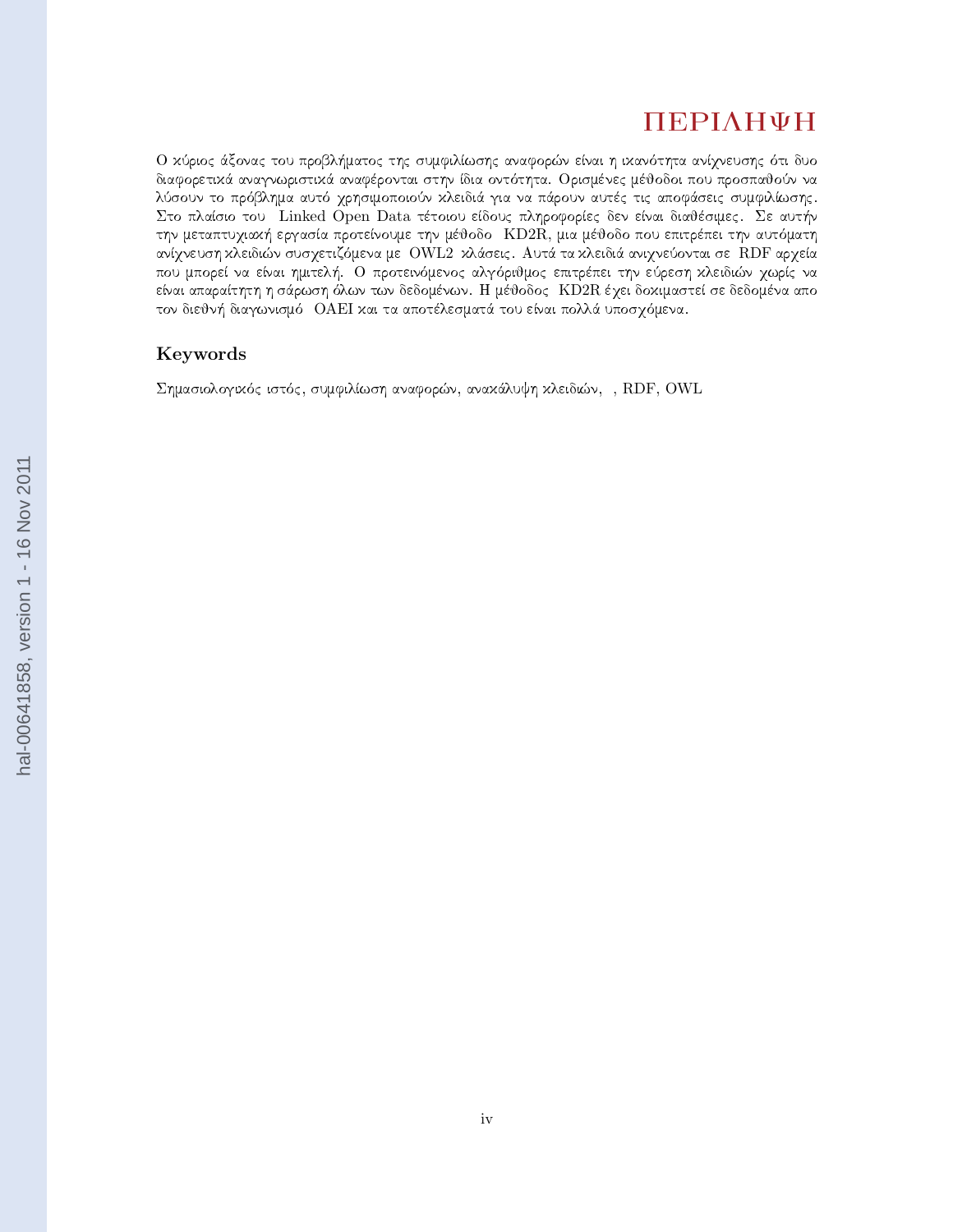# ПЕРІЛНФН

O κύριος άξονας του προβλήματος της συμφιλίωσης αναφορών είναι η ικανότητα ανίχνευσης ότι δυο διαφορετικά αναγνωριστικά αναφέρονται στην ίδια οντότητα. Ορισμένες μέθοδοι που προσπαθούν να λύσουν το πρόβλημα αυτό χρησιμοποιούν κλειδιά για να πάρουν αυτές τις αποφάσεις συμφιλίωσης. Στο πλαίσιο του Linked Open Data τέτοιου είδους πληροφορίες δεν είναι διαθέσιμες. Σε αυτήν την μεταπτυχιαχή εργασία προτείνουμε την μέθοδο KD2R, μια μέθοδο που επιτρέπει την αυτόματη ανίχνευση κλειδιών συσχετιζόμενα με OWL2 κλάσεις. Αυτά τα κλειδιά ανιχνεύονται σε RDF αρχεία που μπορεί να είναι ημιτελή. Ο προτεινόμενος αλγόριθμος επιτρέπει την εύρεση κλειδιών χωρίς να είναι απαραίτητη η σάρωση όλων των δεδομένων. Η μέθοδος KD2R έχει δοχιμαστεί σε δεδομένα απο τον διεθνή διαγωνισμό OAEI και τα αποτέλεσματά του είναι πολλά υποσχόμενα.

## Keywords

 $\Sigma$ ημασιολογικός ιστός, συμφιλίωση αναφορών, ανακάλυψη κλειδιών, , RDF, OWL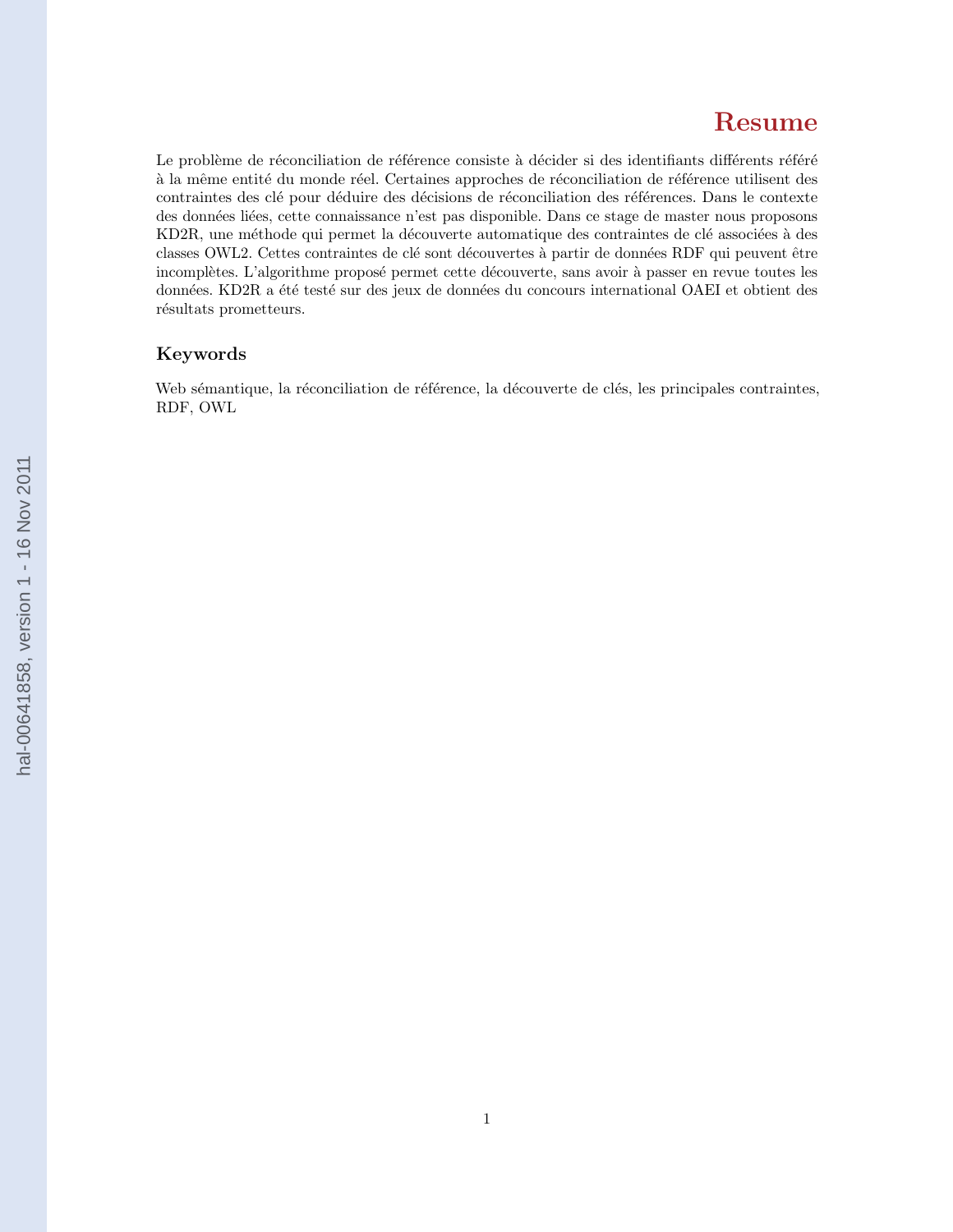# Resume

Le problème de réconciliation de référence consiste à décider si des identifiants différents référé à la même entité du monde réel. Certaines approches de réconciliation de référence utilisent des contraintes des clé pour déduire des décisions de réconciliation des références. Dans le contexte des données liées, cette connaissance n'est pas disponible. Dans ce stage de master nous proposons KD2R, une méthode qui permet la découverte automatique des contraintes de clé associées à des classes OWL2. Cettes contraintes de clé sont découvertes à partir de données RDF qui peuvent être incomplètes. L'algorithme proposé permet cette découverte, sans avoir à passer en revue toutes les données. KD2R a été testé sur des jeux de données du concours international OAEI et obtient des résultats prometteurs.

## Keywords

Web sémantique, la réconciliation de référence, la découverte de clés, les principales contraintes, RDF, OWL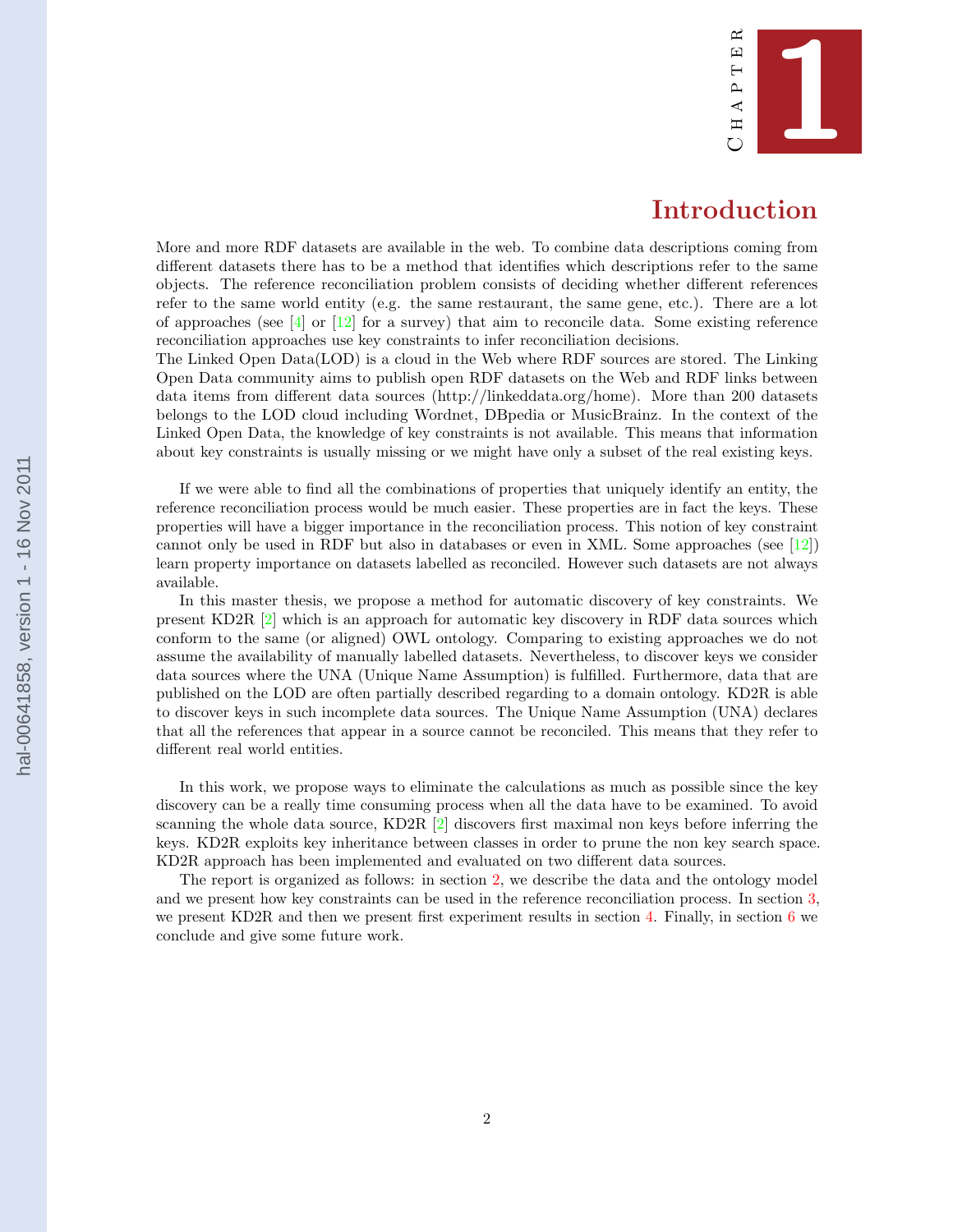

## Introduction

<span id="page-6-0"></span>More and more RDF datasets are available in the web. To combine data descriptions coming from different datasets there has to be a method that identifies which descriptions refer to the same objects. The reference reconciliation problem consists of deciding whether different references refer to the same world entity (e.g. the same restaurant, the same gene, etc.). There are a lot of approaches (see  $[4]$  or  $[12]$  for a survey) that aim to reconcile data. Some existing reference reconciliation approaches use key constraints to infer reconciliation decisions.

The Linked Open Data(LOD) is a cloud in the Web where RDF sources are stored. The Linking Open Data community aims to publish open RDF datasets on the Web and RDF links between data items from different data sources (http://linkeddata.org/home). More than 200 datasets belongs to the LOD cloud including Wordnet, DBpedia or MusicBrainz. In the context of the Linked Open Data, the knowledge of key constraints is not available. This means that information about key constraints is usually missing or we might have only a subset of the real existing keys.

If we were able to find all the combinations of properties that uniquely identify an entity, the reference reconciliation process would be much easier. These properties are in fact the keys. These properties will have a bigger importance in the reconciliation process. This notion of key constraint cannot only be used in RDF but also in databases or even in XML. Some approaches (see [\[12\]](#page-27-0)) learn property importance on datasets labelled as reconciled. However such datasets are not always available.

In this master thesis, we propose a method for automatic discovery of key constraints. We present KD2R [\[2\]](#page-27-0) which is an approach for automatic key discovery in RDF data sources which conform to the same (or aligned) OWL ontology. Comparing to existing approaches we do not assume the availability of manually labelled datasets. Nevertheless, to discover keys we consider data sources where the UNA (Unique Name Assumption) is fulfilled. Furthermore, data that are published on the LOD are often partially described regarding to a domain ontology. KD2R is able to discover keys in such incomplete data sources. The Unique Name Assumption (UNA) declares that all the references that appear in a source cannot be reconciled. This means that they refer to different real world entities.

In this work, we propose ways to eliminate the calculations as much as possible since the key discovery can be a really time consuming process when all the data have to be examined. To avoid scanning the whole data source, KD2R  $[2]$  discovers first maximal non keys before inferring the keys. KD2R exploits key inheritance between classes in order to prune the non key search space. KD2R approach has been implemented and evaluated on two different data sources.

The report is organized as follows: in section [2,](#page-7-0) we describe the data and the ontology model and we present how key constraints can be used in the reference reconciliation process. In section [3,](#page-10-0) we present KD2R and then we present first experiment results in section [4.](#page-22-0) Finally, in section [6](#page-25-0) we conclude and give some future work.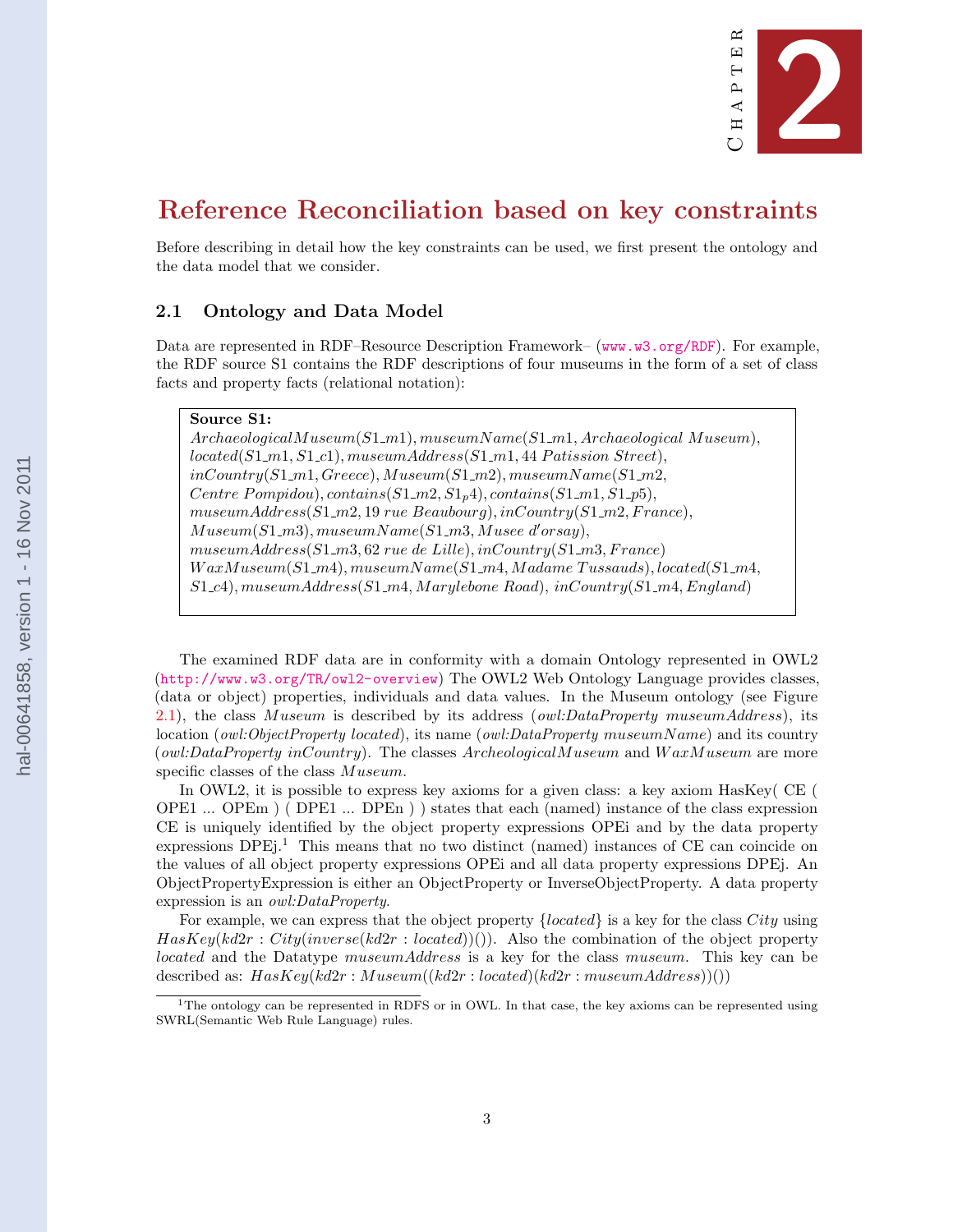

# <span id="page-7-0"></span>Reference Reconciliation based on key constraints

Before describing in detail how the key constraints can be used, we first present the ontology and the data model that we consider.

## 2.1 Ontology and Data Model

Data are represented in RDF–Resource Description Framework– (<www.w3.org/RDF>). For example, the RDF source S1 contains the RDF descriptions of four museums in the form of a set of class facts and property facts (relational notation):

## Source S1:

 $Archaeological Museum(S1_m1), museumName(S1_m1, Archaeological Museum),$  $located(S1_m1, S1_c1), museumAddress(S1_m1, 44 \; Patission \; Street),$  $inCountry(S1_m1, Greece), Museum(S1_m2), museumName(S1_m2,$ Centre Pompidou), contains $(S1_m2, S1_n4)$ , contains $(S1_m1, S1_p5)$ ,  $museumAddress(S1_m2, 19\,{}^{\prime}ne\,{}^{\prime}Beaubourg), inCountry(S1_m2, France),$  $Museum(S1_m3), museumName(S1_m3, Musee d'orsay),$  $museumAddress(S1_m3, 62\; rule\; del. inCountry(S1_m3, France)$  $WaxMuseum(S1_m4), museumName(S1_m4, Madame Tussauds), located(S1_m4,$  $S1_c4$ ), museumAddress( $S1_c4$ , Marylebone Road), inCountry( $S1_c4$ , England)

The examined RDF data are in conformity with a domain Ontology represented in OWL2 (<http://www.w3.org/TR/owl2-overview>) The OWL2 Web Ontology Language provides classes, (data or object) properties, individuals and data values. In the Museum ontology (see Figure [2.1\)](#page-8-0), the class Museum is described by its address (*owl:DataProperty museumAddress*), its location (*owl:ObjectProperty located*), its name (*owl:DataProperty museumName*) and its country (owl:DataProperty inCountry). The classes  $Archeological Museum$  and  $WaxMuseum$  are more specific classes of the class  $Museum$ .

In OWL2, it is possible to express key axioms for a given class: a key axiom HasKey( CE ( OPE1 ... OPEm ) ( DPE1 ... DPEn ) ) states that each (named) instance of the class expression CE is uniquely identified by the object property expressions OPEi and by the data property expressions  $DPEi<sup>1</sup>$ . This means that no two distinct (named) instances of CE can coincide on the values of all object property expressions OPEi and all data property expressions DPEj. An ObjectPropertyExpression is either an ObjectProperty or InverseObjectProperty. A data property expression is an owl:DataProperty.

For example, we can express that the object property  ${located}$  is a key for the class City using  $Haskey(kd2r : City(inverse(kd2r : located))$ . Also the combination of the object property located and the Datatype museumAddress is a key for the class museum. This key can be described as:  $HasKey(kd2r : Museum((kd2r : located)(kd2r : museumAddress))())$ 

<sup>&</sup>lt;sup>1</sup>The ontology can be represented in RDFS or in OWL. In that case, the key axioms can be represented using SWRL(Semantic Web Rule Language) rules.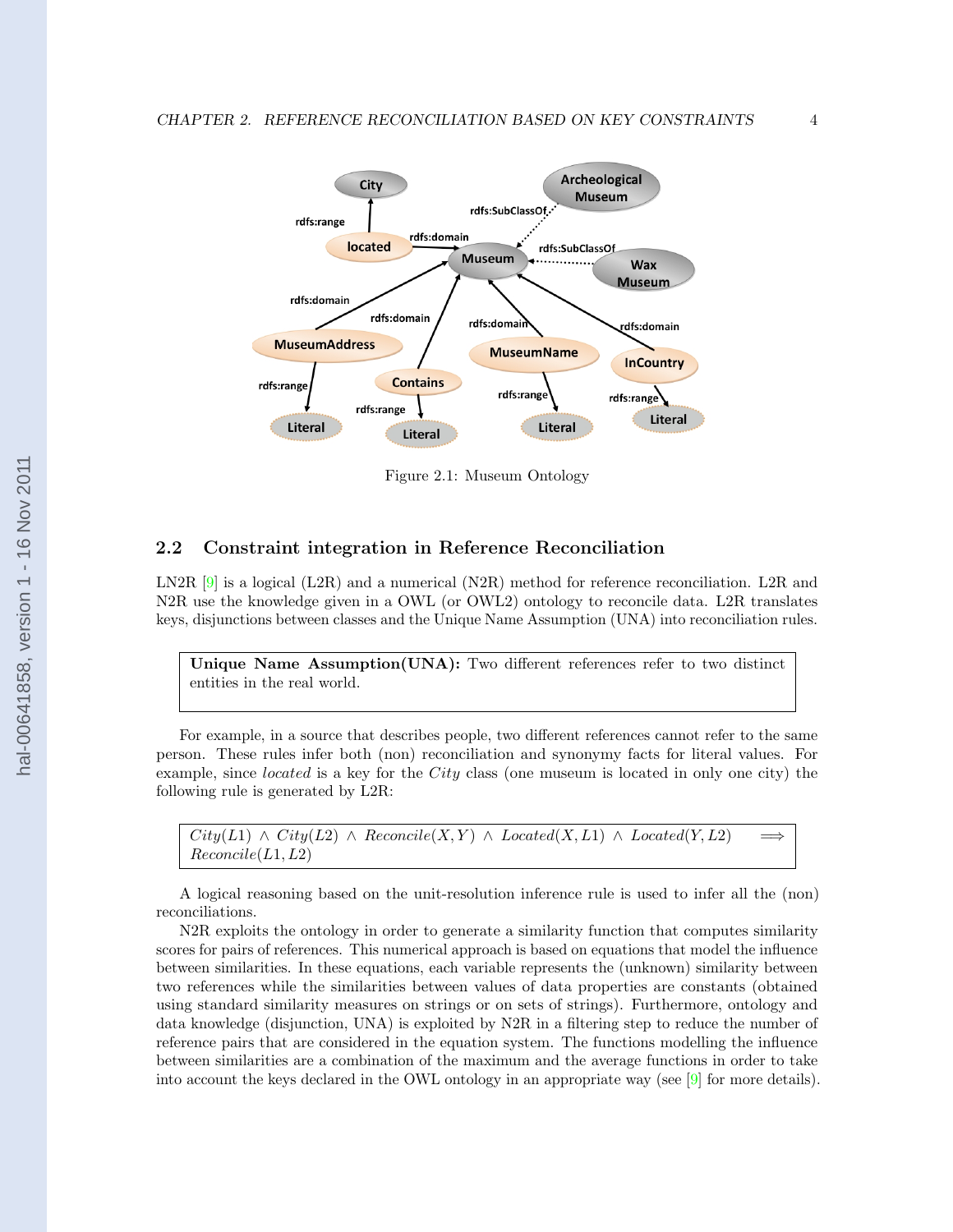<span id="page-8-0"></span>

Figure 2.1: Museum Ontology

#### 2.2 Constraint integration in Reference Reconciliation

LN2R  $[9]$  is a logical (L2R) and a numerical (N2R) method for reference reconciliation. L2R and N2R use the knowledge given in a OWL (or OWL2) ontology to reconcile data. L2R translates keys, disjunctions between classes and the Unique Name Assumption (UNA) into reconciliation rules.

Unique Name Assumption(UNA): Two different references refer to two distinct entities in the real world.

For example, in a source that describes people, two different references cannot refer to the same person. These rules infer both (non) reconciliation and synonymy facts for literal values. For example, since *located* is a key for the *City* class (one museum is located in only one city) the following rule is generated by L2R:

 $City(L1) \wedge City(L2) \wedge Reconcile(X, Y) \wedge Located(X, L1) \wedge Located(Y, L2)$  $Reconcile(L1, L2)$ 

A logical reasoning based on the unit-resolution inference rule is used to infer all the (non) reconciliations.

N2R exploits the ontology in order to generate a similarity function that computes similarity scores for pairs of references. This numerical approach is based on equations that model the influence between similarities. In these equations, each variable represents the (unknown) similarity between two references while the similarities between values of data properties are constants (obtained using standard similarity measures on strings or on sets of strings). Furthermore, ontology and data knowledge (disjunction, UNA) is exploited by N2R in a filtering step to reduce the number of reference pairs that are considered in the equation system. The functions modelling the influence between similarities are a combination of the maximum and the average functions in order to take into account the keys declared in the OWL ontology in an appropriate way (see [\[9\]](#page-27-0) for more details).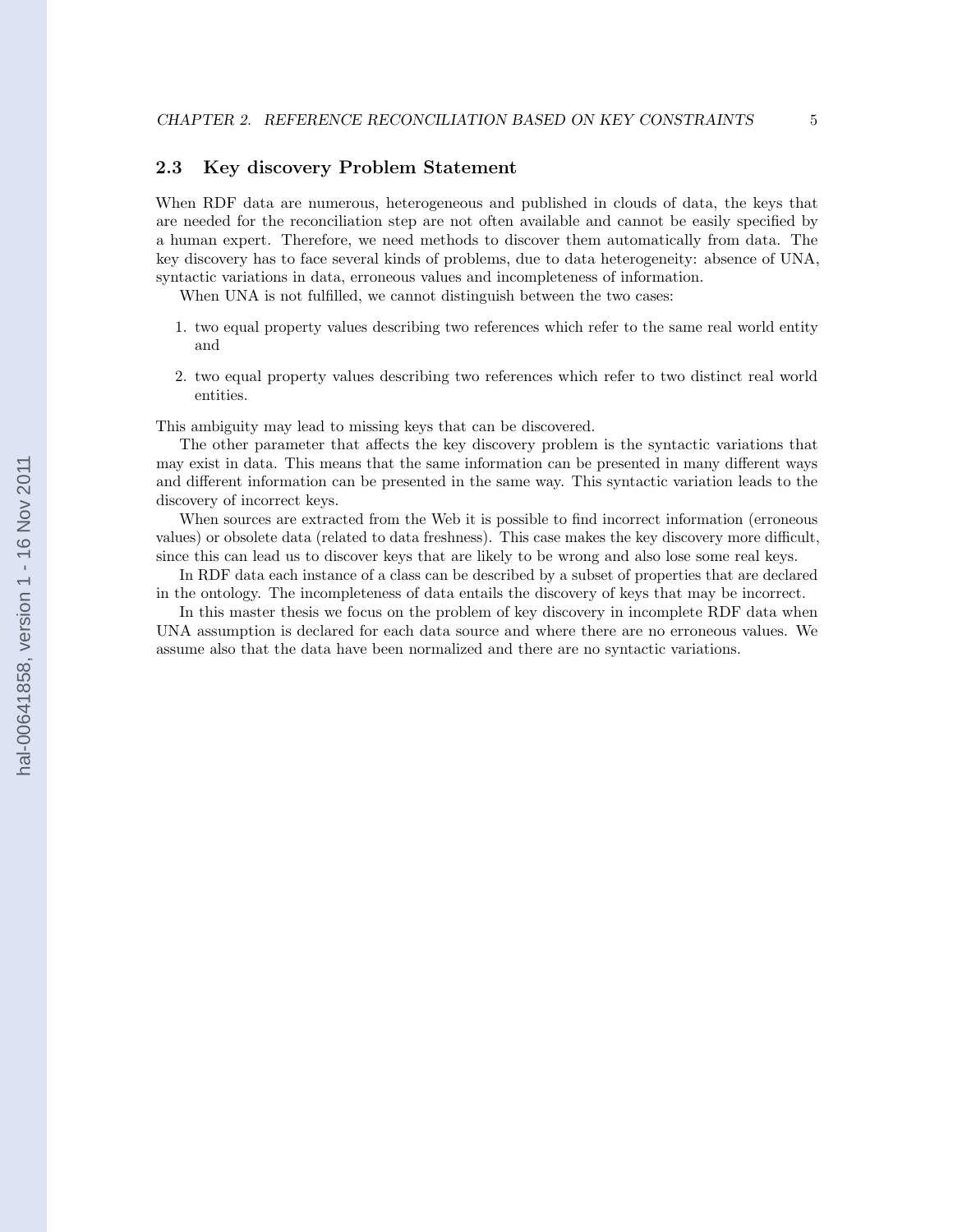## <span id="page-9-0"></span>2.3 Key discovery Problem Statement

When RDF data are numerous, heterogeneous and published in clouds of data, the keys that are needed for the reconciliation step are not often available and cannot be easily specified by a human expert. Therefore, we need methods to discover them automatically from data. The key discovery has to face several kinds of problems, due to data heterogeneity: absence of UNA, syntactic variations in data, erroneous values and incompleteness of information.

When UNA is not fulfilled, we cannot distinguish between the two cases:

- 1. two equal property values describing two references which refer to the same real world entity and
- 2. two equal property values describing two references which refer to two distinct real world entities.

This ambiguity may lead to missing keys that can be discovered.

The other parameter that affects the key discovery problem is the syntactic variations that may exist in data. This means that the same information can be presented in many different ways and different information can be presented in the same way. This syntactic variation leads to the discovery of incorrect keys.

When sources are extracted from the Web it is possible to find incorrect information (erroneous values) or obsolete data (related to data freshness). This case makes the key discovery more difficult, since this can lead us to discover keys that are likely to be wrong and also lose some real keys.

In RDF data each instance of a class can be described by a subset of properties that are declared in the ontology. The incompleteness of data entails the discovery of keys that may be incorrect.

In this master thesis we focus on the problem of key discovery in incomplete RDF data when UNA assumption is declared for each data source and where there are no erroneous values. We assume also that the data have been normalized and there are no syntactic variations.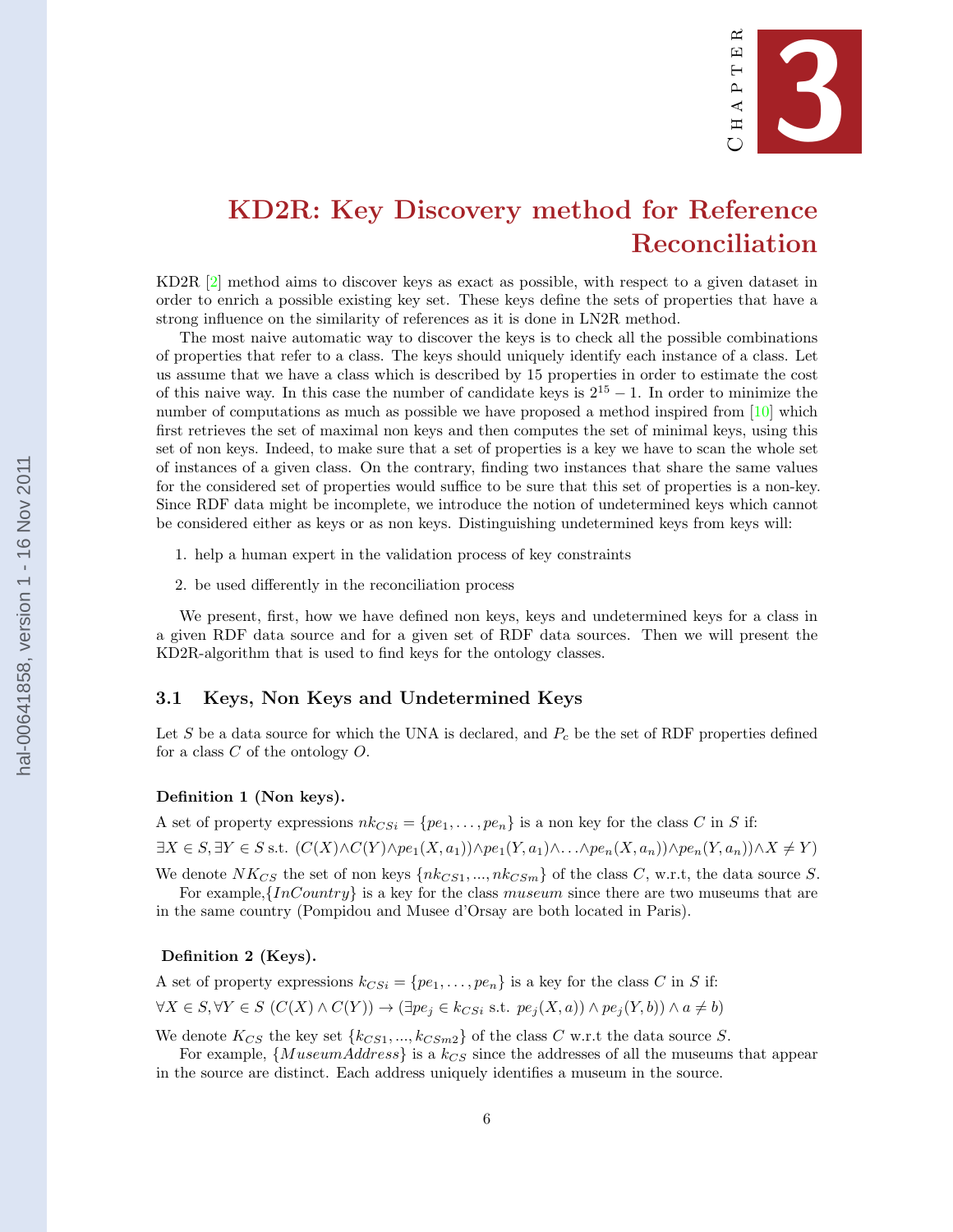

# <span id="page-10-0"></span>KD2R: Key Discovery method for Reference Reconciliation

KD2R [\[2\]](#page-27-0) method aims to discover keys as exact as possible, with respect to a given dataset in order to enrich a possible existing key set. These keys define the sets of properties that have a strong influence on the similarity of references as it is done in LN2R method.

The most naive automatic way to discover the keys is to check all the possible combinations of properties that refer to a class. The keys should uniquely identify each instance of a class. Let us assume that we have a class which is described by 15 properties in order to estimate the cost of this naive way. In this case the number of candidate keys is  $2^{15} - 1$ . In order to minimize the number of computations as much as possible we have proposed a method inspired from  $[10]$  which first retrieves the set of maximal non keys and then computes the set of minimal keys, using this set of non keys. Indeed, to make sure that a set of properties is a key we have to scan the whole set of instances of a given class. On the contrary, finding two instances that share the same values for the considered set of properties would suffice to be sure that this set of properties is a non-key. Since RDF data might be incomplete, we introduce the notion of undetermined keys which cannot be considered either as keys or as non keys. Distinguishing undetermined keys from keys will:

1. help a human expert in the validation process of key constraints

2. be used differently in the reconciliation process

We present, first, how we have defined non keys, keys and undetermined keys for a class in a given RDF data source and for a given set of RDF data sources. Then we will present the KD2R-algorithm that is used to find keys for the ontology classes.

#### 3.1 Keys, Non Keys and Undetermined Keys

Let S be a data source for which the UNA is declared, and  $P_c$  be the set of RDF properties defined for a class  $C$  of the ontology  $O$ .

#### Definition 1 (Non keys).

A set of property expressions  $nk_{CSi} = \{pe_1, \ldots, pe_n\}$  is a non key for the class C in S if:  $\exists X \in S, \exists Y \in S \text{ s.t. } (C(X) \wedge C(Y) \wedge pe_1(X, a_1)) \wedge pe_1(Y, a_1) \wedge \ldots \wedge pe_n(X, a_n)) \wedge pe_n(Y, a_n)) \wedge X \neq Y$ 

We denote  $NK_{CS}$  the set of non keys  $\{nk_{CS1}, ..., nk_{CSm}\}$  of the class C, w.r.t, the data source S.

For example, $\{InCountry\}$  is a key for the class museum since there are two museums that are in the same country (Pompidou and Musee d'Orsay are both located in Paris).

#### Definition 2 (Keys).

A set of property expressions  $k_{CS_i} = \{pe_1, \ldots, pe_n\}$  is a key for the class C in S if:

$$
\forall X \in S, \forall Y \in S \ (C(X) \land C(Y)) \rightarrow (\exists pe_j \in k_{CSi} \text{ s.t. } pe_j(X, a)) \land pe_j(Y, b)) \land a \neq b)
$$

We denote  $K_{CS}$  the key set  $\{k_{CS1},...,k_{CSm2}\}$  of the class C w.r.t the data source S.

For example,  ${MuseumAddress}$  is a  $k_{CS}$  since the addresses of all the museums that appear in the source are distinct. Each address uniquely identifies a museum in the source.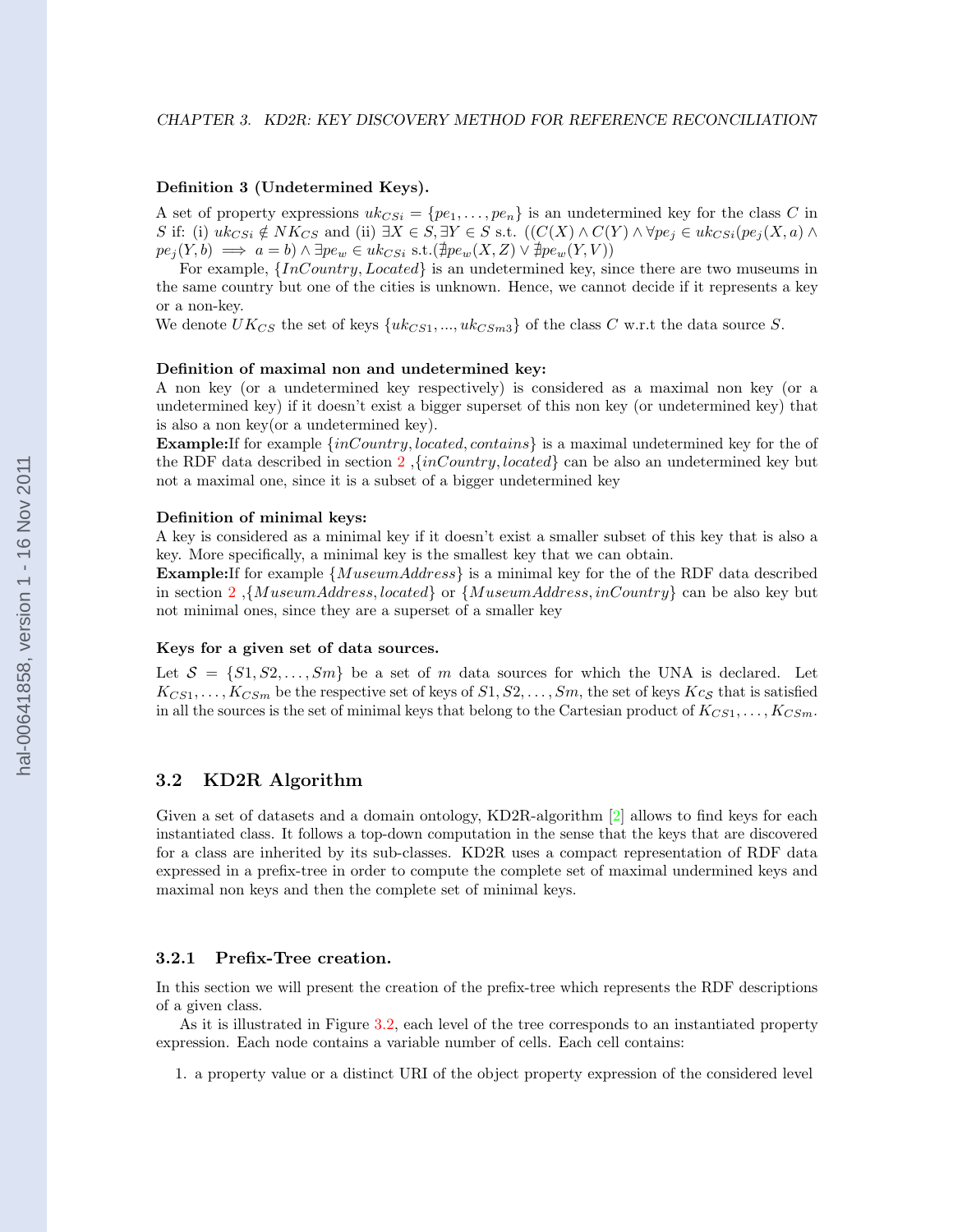#### <span id="page-11-0"></span>Definition 3 (Undetermined Keys).

A set of property expressions  $uk_{CSi} = \{pe_1, \ldots, pe_n\}$  is an undetermined key for the class C in S if: (i)  $uk_{CSi} \notin NK_{CS}$  and (ii)  $\exists X \in S, \exists Y \in S$  s.t.  $((C(X) \wedge C(Y) \wedge \forall pe_i \in uk_{CSi}(pe_i(X, a) \wedge \forall r_i \in S))$  $pe_j(Y, b) \implies a = b) \wedge \exists pe_w \in uk_{CSi} \text{ s.t.} (\nexists pe_w(X, Z) \vee \nexists pe_w(Y, V))$ 

For example,  $\{InCountry, located\}$  is an undetermined key, since there are two museums in the same country but one of the cities is unknown. Hence, we cannot decide if it represents a key or a non-key.

We denote  $UK_{CS}$  the set of keys  $\{uk_{CS1}, ..., uk_{CSm3}\}$  of the class C w.r.t the data source S.

#### Definition of maximal non and undetermined key:

A non key (or a undetermined key respectively) is considered as a maximal non key (or a undetermined key) if it doesn't exist a bigger superset of this non key (or undetermined key) that is also a non key(or a undetermined key).

**Example:** If for example  $\{inCountry, located, contains\}$  is a maximal undetermined key for the of the RDF data described in section [2](#page-7-0),  $\{inCountry, located\}$  can be also an undetermined key but not a maximal one, since it is a subset of a bigger undetermined key

#### Definition of minimal keys:

A key is considered as a minimal key if it doesn't exist a smaller subset of this key that is also a key. More specifically, a minimal key is the smallest key that we can obtain.

**Example:** If for example  ${MuseumAddress}$  is a minimal key for the of the RDF data described in section [2](#page-7-0) ,{MuseumAddress, located} or {MuseumAddress, inCountry} can be also key but not minimal ones, since they are a superset of a smaller key

#### Keys for a given set of data sources.

Let  $S = \{S_1, S_2, \ldots, S_m\}$  be a set of m data sources for which the UNA is declared. Let  $K_{CS1}, \ldots, K_{CSm}$  be the respective set of keys of  $S1, S2, \ldots, Sm$ , the set of keys  $Kc_S$  that is satisfied in all the sources is the set of minimal keys that belong to the Cartesian product of  $K_{CS1}, \ldots, K_{CSm}$ .

#### 3.2 KD2R Algorithm

Given a set of datasets and a domain ontology, KD2R-algorithm [\[2\]](#page-27-0) allows to find keys for each instantiated class. It follows a top-down computation in the sense that the keys that are discovered for a class are inherited by its sub-classes. KD2R uses a compact representation of RDF data expressed in a prefix-tree in order to compute the complete set of maximal undermined keys and maximal non keys and then the complete set of minimal keys.

#### 3.2.1 Prefix-Tree creation.

In this section we will present the creation of the prefix-tree which represents the RDF descriptions of a given class.

As it is illustrated in Figure [3.2,](#page-15-0) each level of the tree corresponds to an instantiated property expression. Each node contains a variable number of cells. Each cell contains:

1. a property value or a distinct URI of the object property expression of the considered level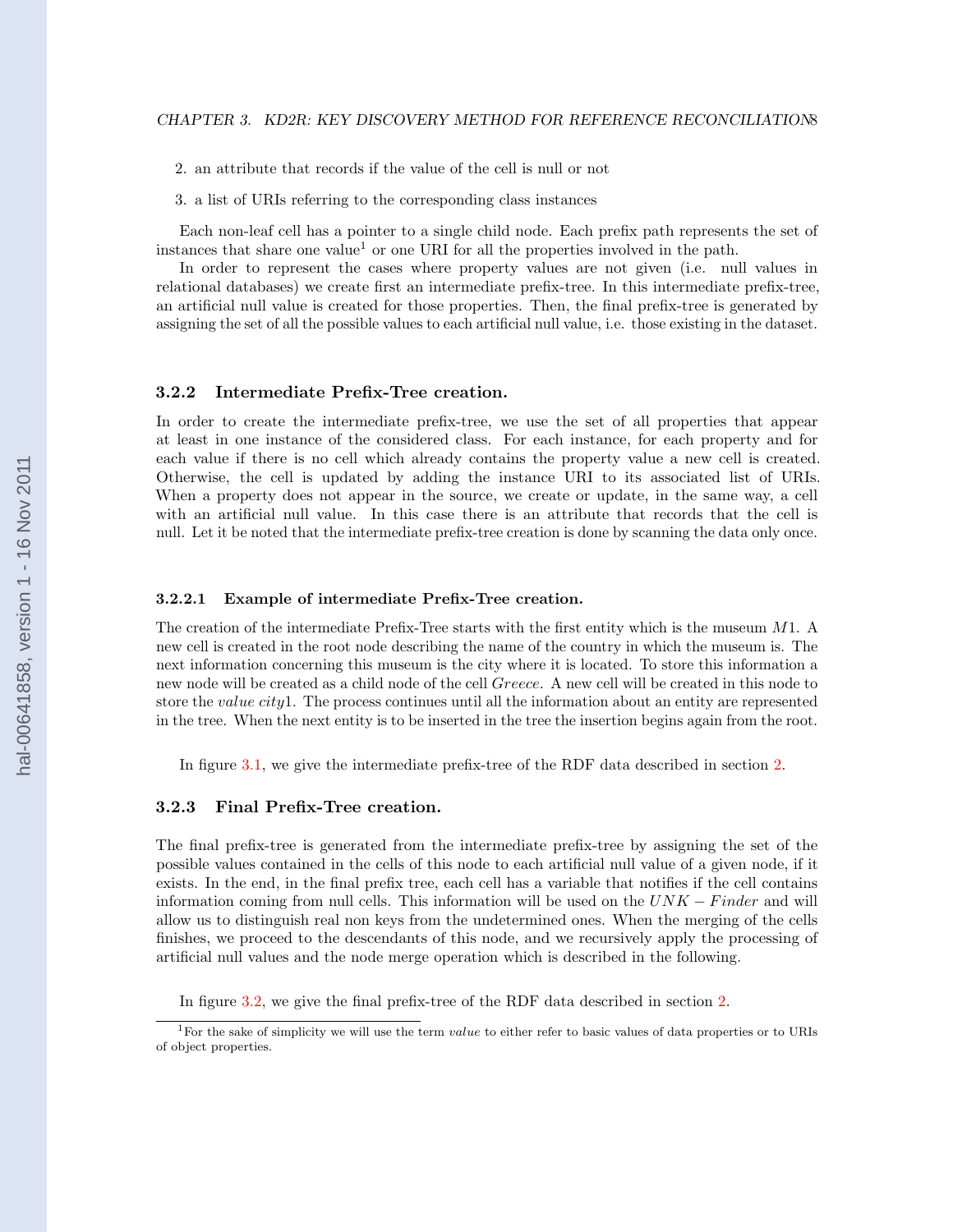<span id="page-12-0"></span>2. an attribute that records if the value of the cell is null or not

3. a list of URIs referring to the corresponding class instances

Each non-leaf cell has a pointer to a single child node. Each prefix path represents the set of instances that share one value<sup>1</sup> or one URI for all the properties involved in the path.

In order to represent the cases where property values are not given (i.e. null values in relational databases) we create first an intermediate prefix-tree. In this intermediate prefix-tree, an artificial null value is created for those properties. Then, the final prefix-tree is generated by assigning the set of all the possible values to each artificial null value, i.e. those existing in the dataset.

#### 3.2.2 Intermediate Prefix-Tree creation.

In order to create the intermediate prefix-tree, we use the set of all properties that appear at least in one instance of the considered class. For each instance, for each property and for each value if there is no cell which already contains the property value a new cell is created. Otherwise, the cell is updated by adding the instance URI to its associated list of URIs. When a property does not appear in the source, we create or update, in the same way, a cell with an artificial null value. In this case there is an attribute that records that the cell is null. Let it be noted that the intermediate prefix-tree creation is done by scanning the data only once.

#### 3.2.2.1 Example of intermediate Prefix-Tree creation.

The creation of the intermediate Prefix-Tree starts with the first entity which is the museum M1. A new cell is created in the root node describing the name of the country in which the museum is. The next information concerning this museum is the city where it is located. To store this information a new node will be created as a child node of the cell Greece. A new cell will be created in this node to store the *value city*1. The process continues until all the information about an entity are represented in the tree. When the next entity is to be inserted in the tree the insertion begins again from the root.

In figure [3.1,](#page-14-0) we give the intermediate prefix-tree of the RDF data described in section [2.](#page-7-0)

#### 3.2.3 Final Prefix-Tree creation.

The final prefix-tree is generated from the intermediate prefix-tree by assigning the set of the possible values contained in the cells of this node to each artificial null value of a given node, if it exists. In the end, in the final prefix tree, each cell has a variable that notifies if the cell contains information coming from null cells. This information will be used on the  $UNK - Finder$  and will allow us to distinguish real non keys from the undetermined ones. When the merging of the cells finishes, we proceed to the descendants of this node, and we recursively apply the processing of artificial null values and the node merge operation which is described in the following.

In figure [3.2,](#page-15-0) we give the final prefix-tree of the RDF data described in section [2.](#page-7-0)

<sup>&</sup>lt;sup>1</sup>For the sake of simplicity we will use the term *value* to either refer to basic values of data properties or to URIs of object properties.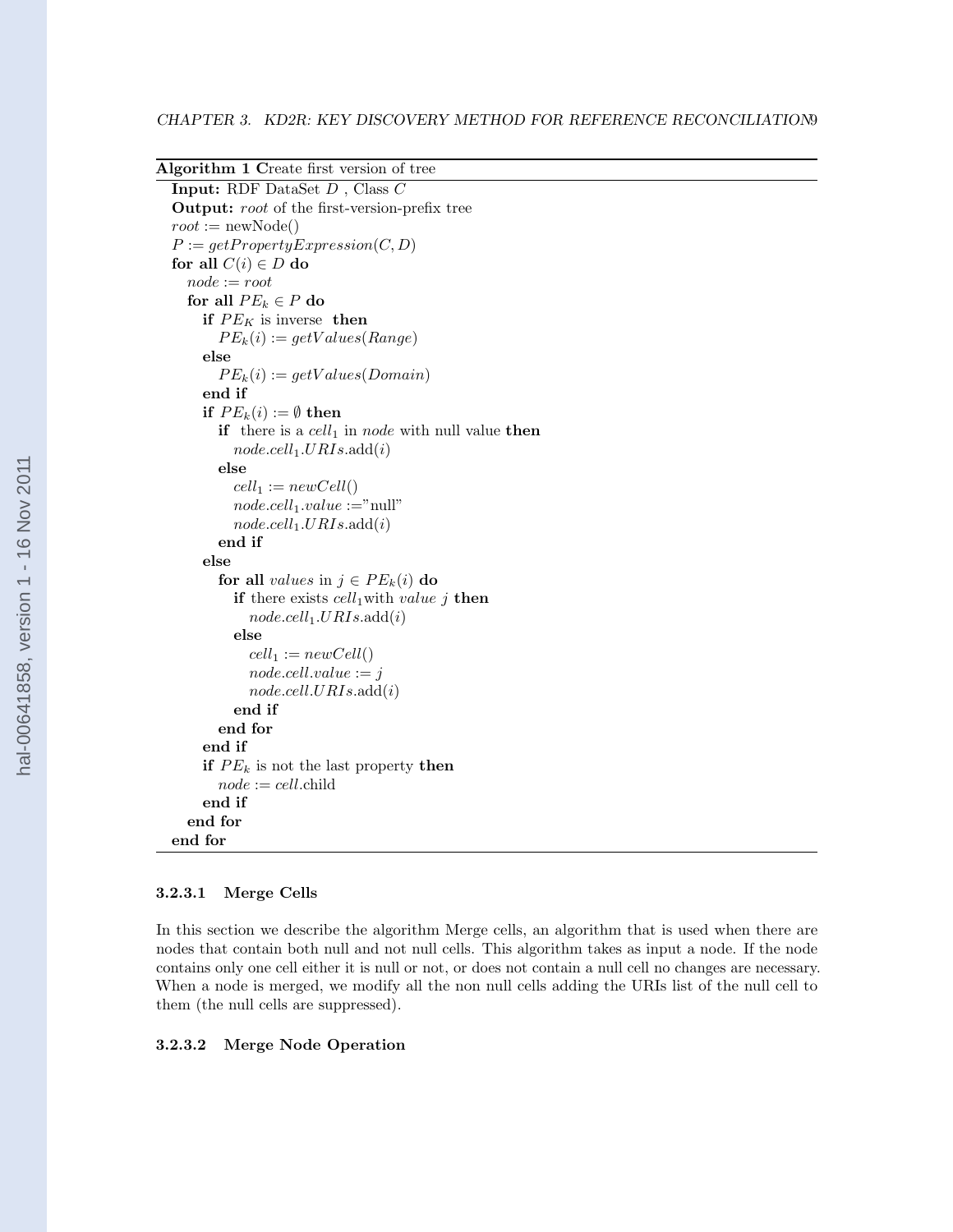<span id="page-13-0"></span>

| Algorithm 1 Create first version of tree             |  |  |  |  |  |
|------------------------------------------------------|--|--|--|--|--|
| Input: RDF DataSet D, Class C                        |  |  |  |  |  |
| <b>Output:</b> root of the first-version-prefix tree |  |  |  |  |  |
| $root := newNode()$                                  |  |  |  |  |  |
| $P := getProperty Expression(C, D)$                  |  |  |  |  |  |
| for all $C(i) \in D$ do                              |  |  |  |  |  |
| $node := root$                                       |  |  |  |  |  |
| for all $PE_k \in P$ do                              |  |  |  |  |  |
| if $PE_K$ is inverse then                            |  |  |  |  |  |
| $PE_k(i) := getValues(Range)$                        |  |  |  |  |  |
| else                                                 |  |  |  |  |  |
| $PE_k(i) := getValues(Domain)$                       |  |  |  |  |  |
| end if                                               |  |  |  |  |  |
| if $PE_k(i) := \emptyset$ then                       |  |  |  |  |  |
| if there is a $cell_1$ in node with null value then  |  |  |  |  |  |
| $node. cell_1. URIs. add(i)$                         |  |  |  |  |  |
| else                                                 |  |  |  |  |  |
| $cell_1 := newCell()$                                |  |  |  |  |  |
| $node. cell_1.value := "null"$                       |  |  |  |  |  |
| $node. cell_1. URIs. add(i)$                         |  |  |  |  |  |
| end if                                               |  |  |  |  |  |
| else                                                 |  |  |  |  |  |
| for all <i>values</i> in $j \in PE_k(i)$ do          |  |  |  |  |  |
| if there exists $cell_1$ with value j then           |  |  |  |  |  |
| $node. cell_1. URIs. add(i)$                         |  |  |  |  |  |
| else                                                 |  |  |  |  |  |
| $cell_1 := newCell()$                                |  |  |  |  |  |
| $node-cell.value := j$                               |  |  |  |  |  |
| node. cell. URIs. add(i)                             |  |  |  |  |  |
| end if                                               |  |  |  |  |  |
| end for                                              |  |  |  |  |  |
| end if                                               |  |  |  |  |  |
| if $PE_k$ is not the last property then              |  |  |  |  |  |
| $node := cell$ .child                                |  |  |  |  |  |
| end if                                               |  |  |  |  |  |
| end for                                              |  |  |  |  |  |
| end for                                              |  |  |  |  |  |

#### 3.2.3.1 Merge Cells

In this section we describe the algorithm Merge cells, an algorithm that is used when there are nodes that contain both null and not null cells. This algorithm takes as input a node. If the node contains only one cell either it is null or not, or does not contain a null cell no changes are necessary. When a node is merged, we modify all the non null cells adding the URIs list of the null cell to them (the null cells are suppressed).

#### 3.2.3.2 Merge Node Operation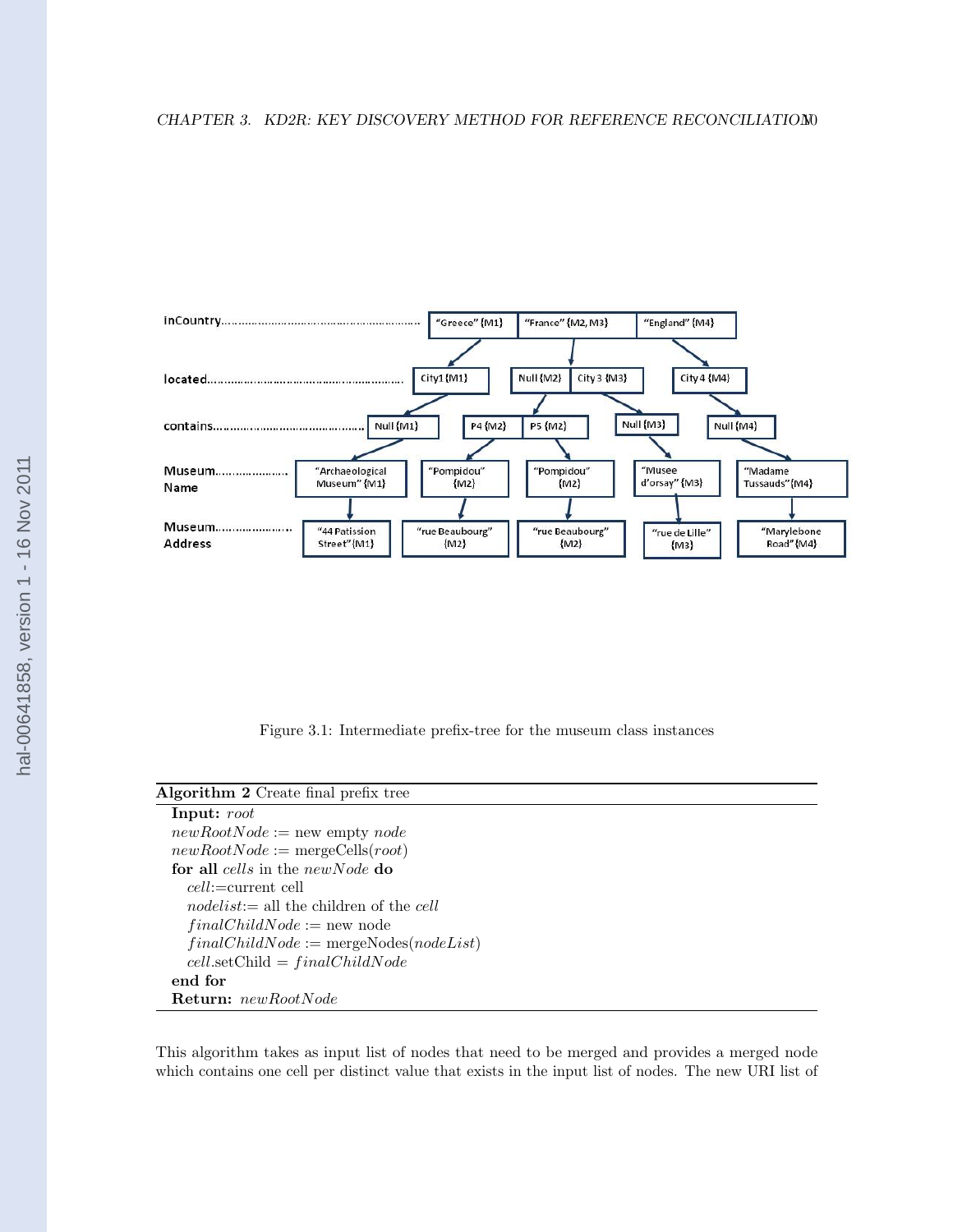#### <span id="page-14-0"></span>CHAPTER 3. KD2R: KEY DISCOVERY METHOD FOR REFERENCE RECONCILIATION0



Figure 3.1: Intermediate prefix-tree for the museum class instances

| Algorithm 2 Create final prefix tree                   |  |  |  |  |
|--------------------------------------------------------|--|--|--|--|
| Input: root                                            |  |  |  |  |
| $newRootNode := new empty node$                        |  |  |  |  |
| $newRootNode := mergeCells(root)$                      |  |  |  |  |
| for all cells in the new Node do                       |  |  |  |  |
| $cell:=current$ cell                                   |  |  |  |  |
| <i>nodelist</i> := all the children of the <i>cell</i> |  |  |  |  |
| $finalChildNode := new node$                           |  |  |  |  |
| $finalChildNode := mergeNodes(nodeList)$               |  |  |  |  |
| $cell.setChild = finalChildNode$                       |  |  |  |  |
| end for                                                |  |  |  |  |
| <b>Return:</b> newRootNode                             |  |  |  |  |

This algorithm takes as input list of nodes that need to be merged and provides a merged node which contains one cell per distinct value that exists in the input list of nodes. The new URI list of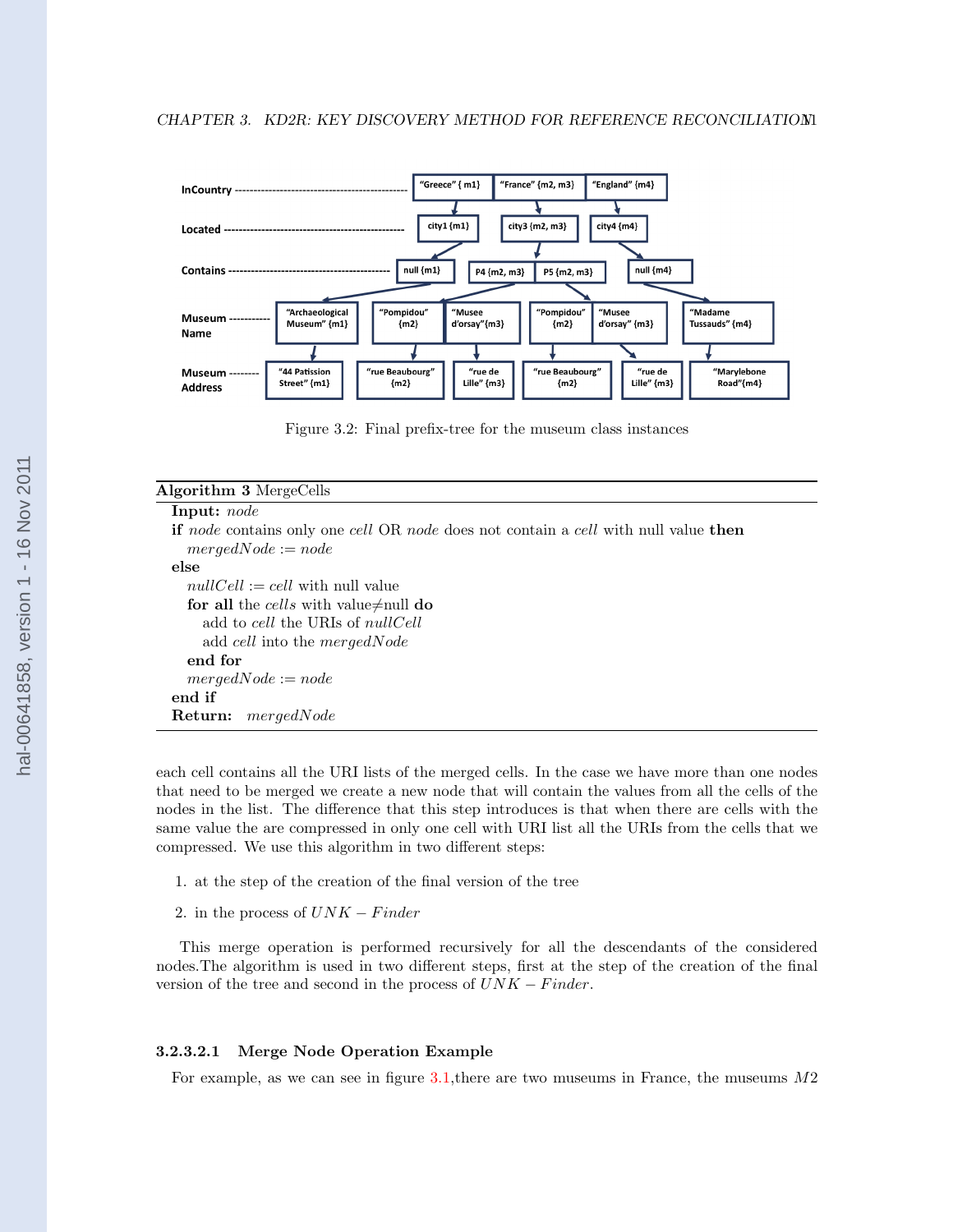<span id="page-15-0"></span>

Figure 3.2: Final prefix-tree for the museum class instances

| <b>Algorithm 3</b> MergeCells                                                              |
|--------------------------------------------------------------------------------------------|
| <b>Input:</b> <i>node</i>                                                                  |
| <b>if</b> node contains only one cell OR node does not contain a cell with null value then |
| $mergedNode := node$                                                                       |
| else                                                                                       |
| $nullCell := cell$ with null value                                                         |
| for all the cells with value $\neq$ null do                                                |
| add to cell the URIs of <i>nullCell</i>                                                    |
| add cell into the mergedNode                                                               |
| end for                                                                                    |
| $mergedNode := node$                                                                       |
| end if                                                                                     |
| mergedNode<br>Return:                                                                      |

each cell contains all the URI lists of the merged cells. In the case we have more than one nodes that need to be merged we create a new node that will contain the values from all the cells of the nodes in the list. The difference that this step introduces is that when there are cells with the same value the are compressed in only one cell with URI list all the URIs from the cells that we compressed. We use this algorithm in two different steps:

1. at the step of the creation of the final version of the tree

2. in the process of  $UNK - Finder$ 

This merge operation is performed recursively for all the descendants of the considered nodes.The algorithm is used in two different steps, first at the step of the creation of the final version of the tree and second in the process of  $UNK - Finder$ .

#### 3.2.3.2.1 Merge Node Operation Example

For example, as we can see in figure [3.1,](#page-14-0)there are two museums in France, the museums M2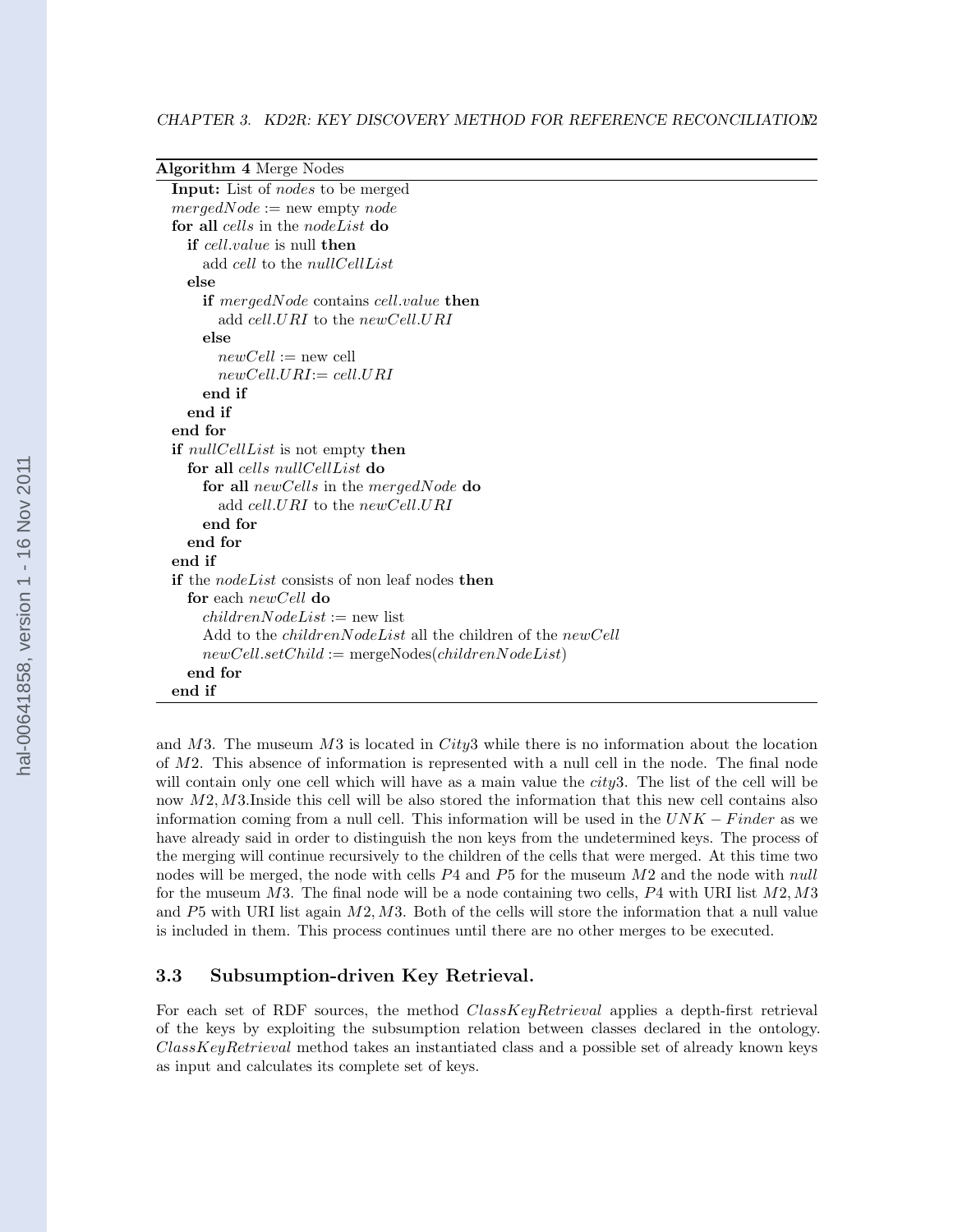<span id="page-16-0"></span>

| <b>Algorithm 4 Merge Nodes</b>                                            |
|---------------------------------------------------------------------------|
| <b>Input:</b> List of <i>nodes</i> to be merged                           |
| $mergedNode := new empty node$                                            |
| for all cells in the node List do                                         |
| <b>if</b> cell, value is null <b>then</b>                                 |
| add cell to the null Cell List                                            |
| else                                                                      |
| <b>if</b> mergedNode contains cell.value <b>then</b>                      |
| add cell, URI to the new Cell, URI                                        |
| else                                                                      |
| $newCell := new cell$                                                     |
| $newCell.URI := cell.URI$                                                 |
| end if                                                                    |
| end if                                                                    |
| end for                                                                   |
| if <i>nullCellList</i> is not empty then                                  |
| for all <i>cells</i> nullCellList do                                      |
| for all newCells in the mergedNode do                                     |
| add cell.URI to the newCell.URI                                           |
| end for                                                                   |
| end for                                                                   |
| end if                                                                    |
| <b>if</b> the <i>nodeList</i> consists of non leaf nodes then             |
| for each $newCell$ do                                                     |
| $childrenNodeList := new list$                                            |
| Add to the <i>childrenNodeList</i> all the children of the <i>newCell</i> |
| $newCell.setChild := mergeNodes(childrenNodeList)$                        |
| end for                                                                   |
| end if                                                                    |

and  $M3$ . The museum  $M3$  is located in City3 while there is no information about the location of M2. This absence of information is represented with a null cell in the node. The final node will contain only one cell which will have as a main value the *city*3. The list of the cell will be now M2, M3.Inside this cell will be also stored the information that this new cell contains also information coming from a null cell. This information will be used in the  $UNK - Finder$  as we have already said in order to distinguish the non keys from the undetermined keys. The process of the merging will continue recursively to the children of the cells that were merged. At this time two nodes will be merged, the node with cells  $P_4$  and  $P_5$  for the museum  $M2$  and the node with null for the museum  $M3$ . The final node will be a node containing two cells,  $P4$  with URI list  $M2, M3$ and  $P5$  with URI list again  $M2$ ,  $M3$ . Both of the cells will store the information that a null value is included in them. This process continues until there are no other merges to be executed.

## 3.3 Subsumption-driven Key Retrieval.

For each set of RDF sources, the method *ClassKeyRetrieval* applies a depth-first retrieval of the keys by exploiting the subsumption relation between classes declared in the ontology. ClassKeyRetrieval method takes an instantiated class and a possible set of already known keys as input and calculates its complete set of keys.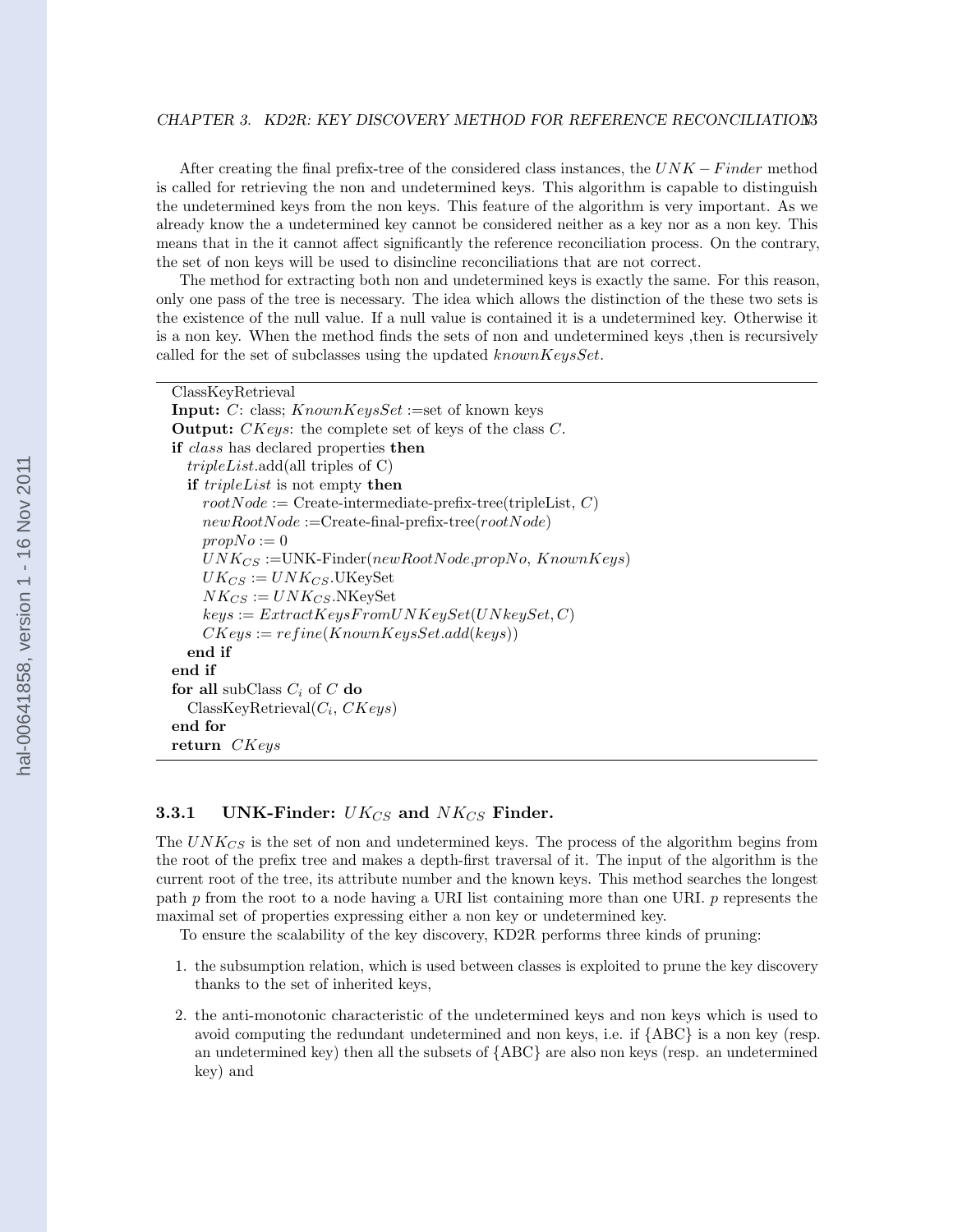#### <span id="page-17-0"></span>CHAPTER 3. KD2R: KEY DISCOVERY METHOD FOR REFERENCE RECONCILIATION3

After creating the final prefix-tree of the considered class instances, the  $UNK - Finder$  method is called for retrieving the non and undetermined keys. This algorithm is capable to distinguish the undetermined keys from the non keys. This feature of the algorithm is very important. As we already know the a undetermined key cannot be considered neither as a key nor as a non key. This means that in the it cannot affect significantly the reference reconciliation process. On the contrary, the set of non keys will be used to disincline reconciliations that are not correct.

The method for extracting both non and undetermined keys is exactly the same. For this reason, only one pass of the tree is necessary. The idea which allows the distinction of the these two sets is the existence of the null value. If a null value is contained it is a undetermined key. Otherwise it is a non key. When the method finds the sets of non and undetermined keys ,then is recursively called for the set of subclasses using the updated knownKeysSet.

```
ClassKeyRetrieval
Input: C: class; KnownKeysSet := set of known keysOutput: CKeys: the complete set of keys of the class C.
if class has declared properties then
  tripleList.add(all triples of C)
  if tripleList is not empty then
    rootNode := Create-intermediate-prefix-tree(tripleList, C)newRootNode := Create-final-perfix-tree(rootNode)propNo := 0UNK_{CS} := UNK\text{-Finder}(newRootNode, propNo, KnownKeys)UK_{CS} := UNK_{CS}. UKeySet
    NK_{CS} := UNK_{CS}.NKeySet
    keys := ExtractKeysFromUNKeySet(UNkeySet, C)CKeys := refine(KnownKeysSet.add(keys))end if
end if
for all subClass C_i of C do
  \text{ClassKeyRetrieval}(C_i, \text{CKeys})end for
return CKeys
```
#### 3.3.1 UNK-Finder:  $UK_{CS}$  and  $NK_{CS}$  Finder.

The  $UNK_{CS}$  is the set of non and undetermined keys. The process of the algorithm begins from the root of the prefix tree and makes a depth-first traversal of it. The input of the algorithm is the current root of the tree, its attribute number and the known keys. This method searches the longest path p from the root to a node having a URI list containing more than one URI. p represents the maximal set of properties expressing either a non key or undetermined key.

To ensure the scalability of the key discovery, KD2R performs three kinds of pruning:

- 1. the subsumption relation, which is used between classes is exploited to prune the key discovery thanks to the set of inherited keys,
- 2. the anti-monotonic characteristic of the undetermined keys and non keys which is used to avoid computing the redundant undetermined and non keys, i.e. if {ABC} is a non key (resp. an undetermined key) then all the subsets of {ABC} are also non keys (resp. an undetermined key) and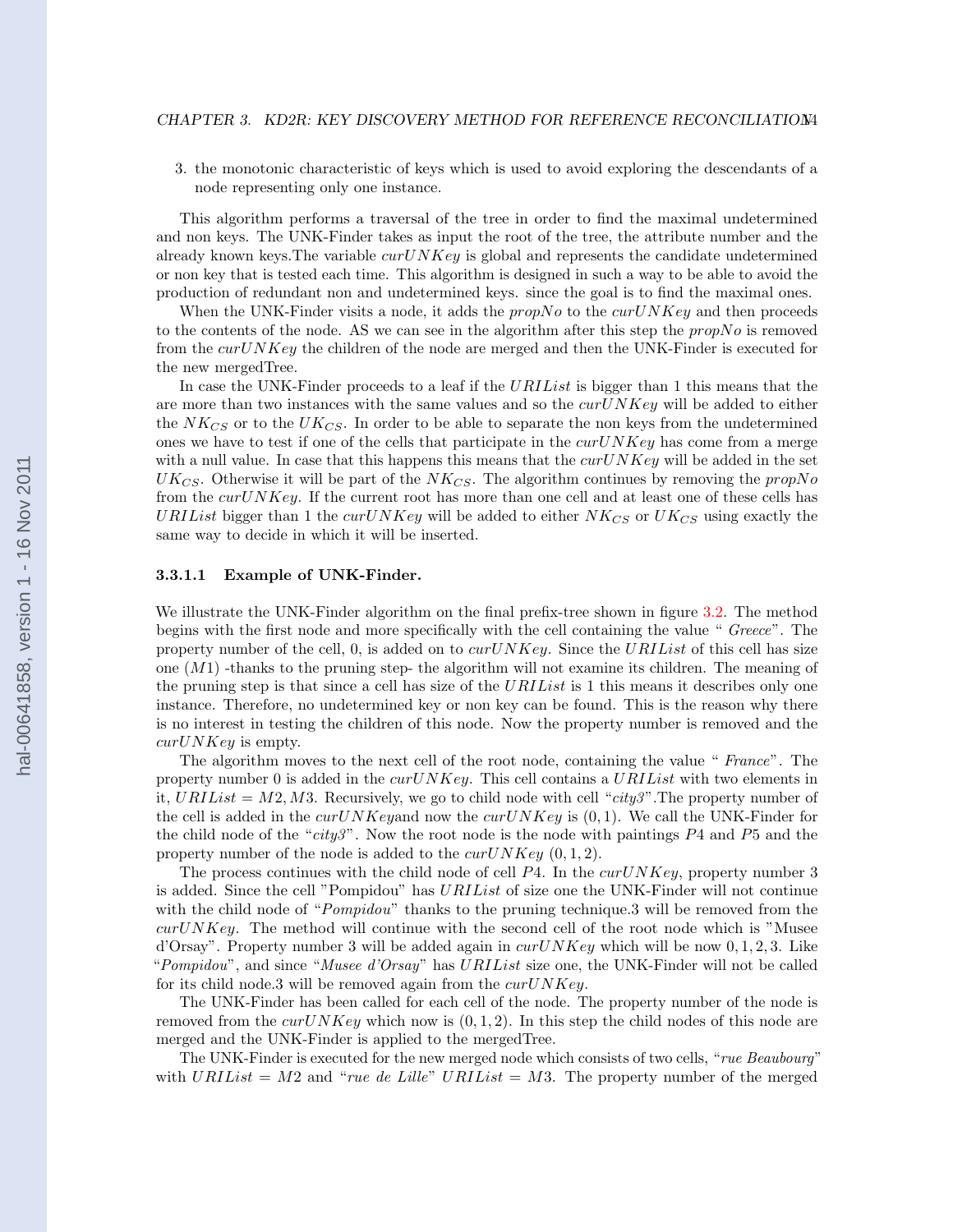<span id="page-18-0"></span>3. the monotonic characteristic of keys which is used to avoid exploring the descendants of a node representing only one instance.

This algorithm performs a traversal of the tree in order to find the maximal undetermined and non keys. The UNK-Finder takes as input the root of the tree, the attribute number and the already known keys. The variable  $curUNKey$  is global and represents the candidate undetermined or non key that is tested each time. This algorithm is designed in such a way to be able to avoid the production of redundant non and undetermined keys. since the goal is to find the maximal ones.

When the UNK-Finder visits a node, it adds the  $propNo$  to the  $curUNKev$  and then proceeds to the contents of the node. AS we can see in the algorithm after this step the  $propNo$  is removed from the  $curUNKey$  the children of the node are merged and then the UNK-Finder is executed for the new mergedTree.

In case the UNK-Finder proceeds to a leaf if the URIList is bigger than 1 this means that the are more than two instances with the same values and so the  $curUNKey$  will be added to either the  $NK_{CS}$  or to the  $UK_{CS}$ . In order to be able to separate the non keys from the undetermined ones we have to test if one of the cells that participate in the  $curUNKey$  has come from a merge with a null value. In case that this happens this means that the  $curUNKey$  will be added in the set  $UK_{CS}$ . Otherwise it will be part of the  $NK_{CS}$ . The algorithm continues by removing the propNo from the  $curUNKey$ . If the current root has more than one cell and at least one of these cells has URIList bigger than 1 the curUNKey will be added to either  $NK_{CS}$  or  $UK_{CS}$  using exactly the same way to decide in which it will be inserted.

#### 3.3.1.1 Example of UNK-Finder.

We illustrate the UNK-Finder algorithm on the final prefix-tree shown in figure [3.2.](#page-15-0) The method begins with the first node and more specifically with the cell containing the value " Greece". The property number of the cell, 0, is added on to  $curUNKey$ . Since the URIList of this cell has size one  $(M1)$  -thanks to the pruning step- the algorithm will not examine its children. The meaning of the pruning step is that since a cell has size of the URIList is 1 this means it describes only one instance. Therefore, no undetermined key or non key can be found. This is the reason why there is no interest in testing the children of this node. Now the property number is removed and the  $curU$ *NKey* is empty.

The algorithm moves to the next cell of the root node, containing the value " France". The property number 0 is added in the  $curUNKey$ . This cell contains a  $URLList$  with two elements in it,  $URList = M2, M3.$  Recursively, we go to child node with cell "city3". The property number of the cell is added in the  $curUNKey$  now the  $curUNKey$  is  $(0, 1)$ . We call the UNK-Finder for the child node of the "city3". Now the root node is the node with paintings  $P_4$  and  $P_5$  and the property number of the node is added to the  $curUNKey(0, 1, 2)$ .

The process continues with the child node of cell  $P4$ . In the curUNKey, property number 3 is added. Since the cell "Pompidou" has URIList of size one the UNK-Finder will not continue with the child node of "*Pompidou*" thanks to the pruning technique.3 will be removed from the  $curUNKey$ . The method will continue with the second cell of the root node which is "Musee" d'Orsay". Property number 3 will be added again in  $curUNKey$  which will be now  $0, 1, 2, 3$ . Like "Pompidou", and since "Musee d'Orsay" has URIList size one, the UNK-Finder will not be called for its child node.3 will be removed again from the  $curUNKey$ .

The UNK-Finder has been called for each cell of the node. The property number of the node is removed from the curVNKey which now is  $(0, 1, 2)$ . In this step the child nodes of this node are merged and the UNK-Finder is applied to the mergedTree.

The UNK-Finder is executed for the new merged node which consists of two cells, "rue Beaubourg" with URIList = M2 and "rue de Lille" URIList = M3. The property number of the merged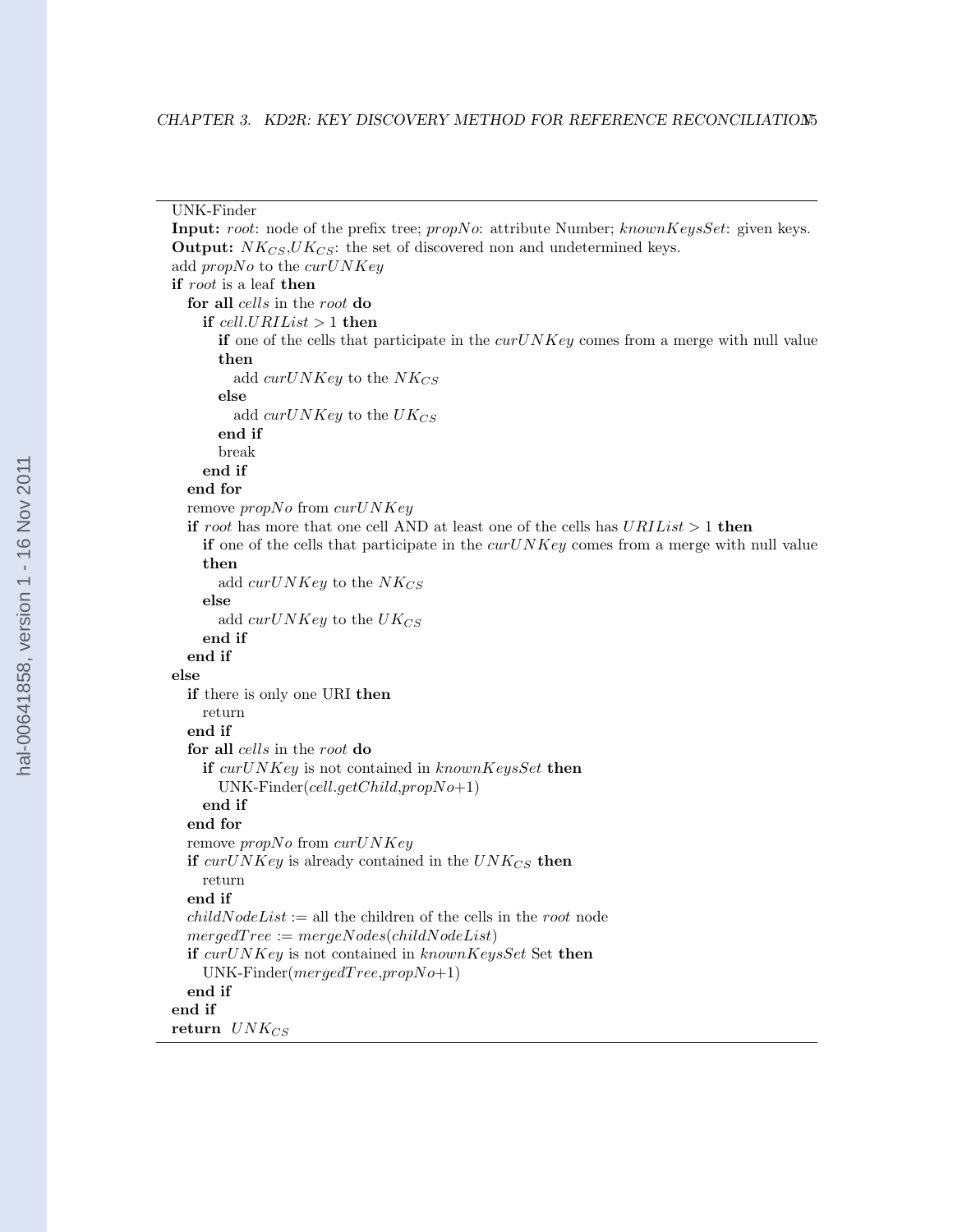```
UNK-Finder
Input: root: node of the prefix tree; propNo: attribute Number; knownKeysSet: given keys.
Output: NK_{CS}, UK_{CS}: the set of discovered non and undetermined keys.
add propNo to the curUNKeyif root is a leaf then
  for all cells in the root do
    if cell.URIList > 1 then
      if one of the cells that participate in the curUNKey comes from a merge with null value
      then
        add curUNKey to the NK_{CS}else
        add curUNKey to the UK_{CS}end if
      break
    end if
  end for
  remove propNo from curU NKeyif root has more that one cell AND at least one of the cells has URLList > 1 then
    if one of the cells that participate in the curUNKey comes from a merge with null value
    then
      add curUNKey to the NK_{CS}else
      add curUNKey to the UK_{CS}end if
  end if
else
  if there is only one URI then
    return
  end if
  for all cells in the root do
    if curUNKey is not contained in knownKeySet then
      UNK-Finder(cell.getChild,propNo+1)
    end if
  end for
  remove propNo from curUNKeyif curUNKey is already contained in the UNK_{CS} then
    return
  end if
  childNodeList := \text{all the children of the cells in the root node}mergedTree := mergeNodes(childNodeList)if curUNKey is not contained in knownKeysSet Set then
    UNK\text{-}Finder(mergedTree, propNo+1)end if
end if
return UNK_{CS}
```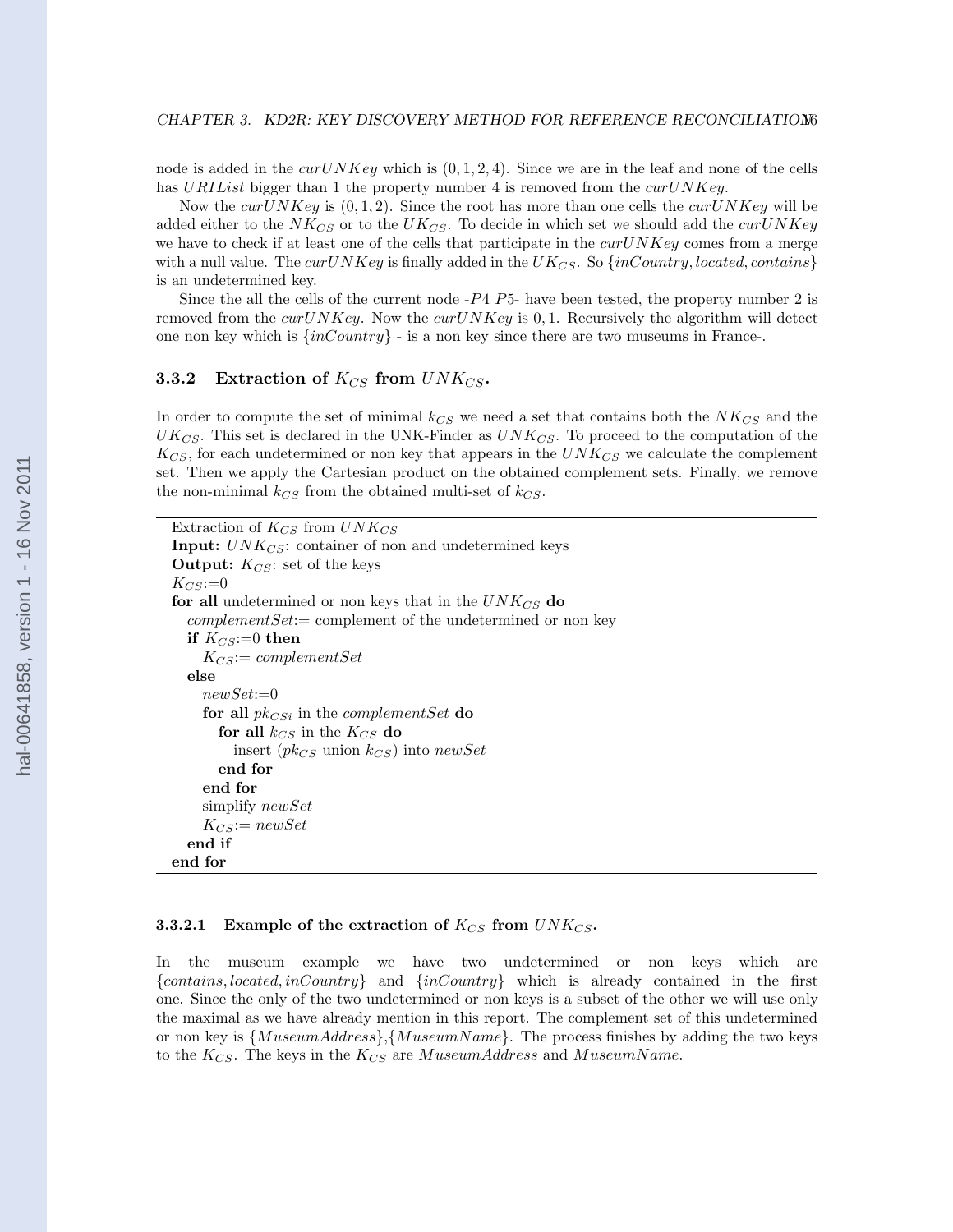<span id="page-20-0"></span>node is added in the  $curUNKey$  which is  $(0, 1, 2, 4)$ . Since we are in the leaf and none of the cells has URIList bigger than 1 the property number 4 is removed from the  $curUNKey$ .

Now the curUNKey is  $(0, 1, 2)$ . Since the root has more than one cells the curUNKey will be added either to the  $NK_{CS}$  or to the  $UK_{CS}$ . To decide in which set we should add the curUNKey we have to check if at least one of the cells that participate in the  $curUNKey$  comes from a merge with a null value. The curUNKey is finally added in the UK<sub>CS</sub>. So  $\{inCountry, located, contains\}$ is an undetermined key.

Since the all the cells of the current node  $-P_4$   $P_5$ - have been tested, the property number 2 is removed from the cur $UNKey$ . Now the cur $UNKey$  is 0, 1. Recursively the algorithm will detect one non key which is  $\{inCountry\}$  - is a non key since there are two museums in France-.

### 3.3.2 Extraction of  $K_{CS}$  from  $UNK_{CS}$ .

In order to compute the set of minimal  $k_{CS}$  we need a set that contains both the  $NK_{CS}$  and the  $UK_{CS}$ . This set is declared in the UNK-Finder as  $UNK_{CS}$ . To proceed to the computation of the  $K_{CS}$ , for each undetermined or non key that appears in the  $UNK_{CS}$  we calculate the complement set. Then we apply the Cartesian product on the obtained complement sets. Finally, we remove the non-minimal  $k_{CS}$  from the obtained multi-set of  $k_{CS}$ .

| Extraction of $K_{CS}$ from $UNK_{CS}$                            |  |  |  |  |
|-------------------------------------------------------------------|--|--|--|--|
| <b>Input:</b> $UNK_{CS}$ : container of non and undetermined keys |  |  |  |  |
| <b>Output:</b> $K_{CS}$ : set of the keys                         |  |  |  |  |
| $K_{CS}:=0$                                                       |  |  |  |  |
| for all undetermined or non keys that in the $UNK_{CS}$ do        |  |  |  |  |
| $complementSet: = complement of the undetermined or nonkey$       |  |  |  |  |
| if $K_{CS}:=0$ then                                               |  |  |  |  |
| $K_{CS}:=\text{complementSet}$                                    |  |  |  |  |
| else                                                              |  |  |  |  |
| $newSet := 0$                                                     |  |  |  |  |
| for all $pk_{CSi}$ in the <i>complementSet</i> do                 |  |  |  |  |
| for all $k_{CS}$ in the $K_{CS}$ do                               |  |  |  |  |
| insert ( $pk_{CS}$ union $k_{CS}$ ) into new Set                  |  |  |  |  |
| end for                                                           |  |  |  |  |
| end for                                                           |  |  |  |  |
| simplify <i>newSet</i>                                            |  |  |  |  |
| $K_{CS}:=newSet$                                                  |  |  |  |  |
| end if                                                            |  |  |  |  |
| end for                                                           |  |  |  |  |

#### **3.3.2.1** Example of the extraction of  $K_{CS}$  from  $UNK_{CS}$ .

In the museum example we have two undetermined or non keys which are  ${contains, located, inCountry}$  and  ${inCountry}$  which is already contained in the first one. Since the only of the two undetermined or non keys is a subset of the other we will use only the maximal as we have already mention in this report. The complement set of this undetermined or non key is  $\{MuseumAddress\}, \{MuseumName\}$ . The process finishes by adding the two keys to the  $K_{CS}$ . The keys in the  $K_{CS}$  are MuseumAddress and MuseumName.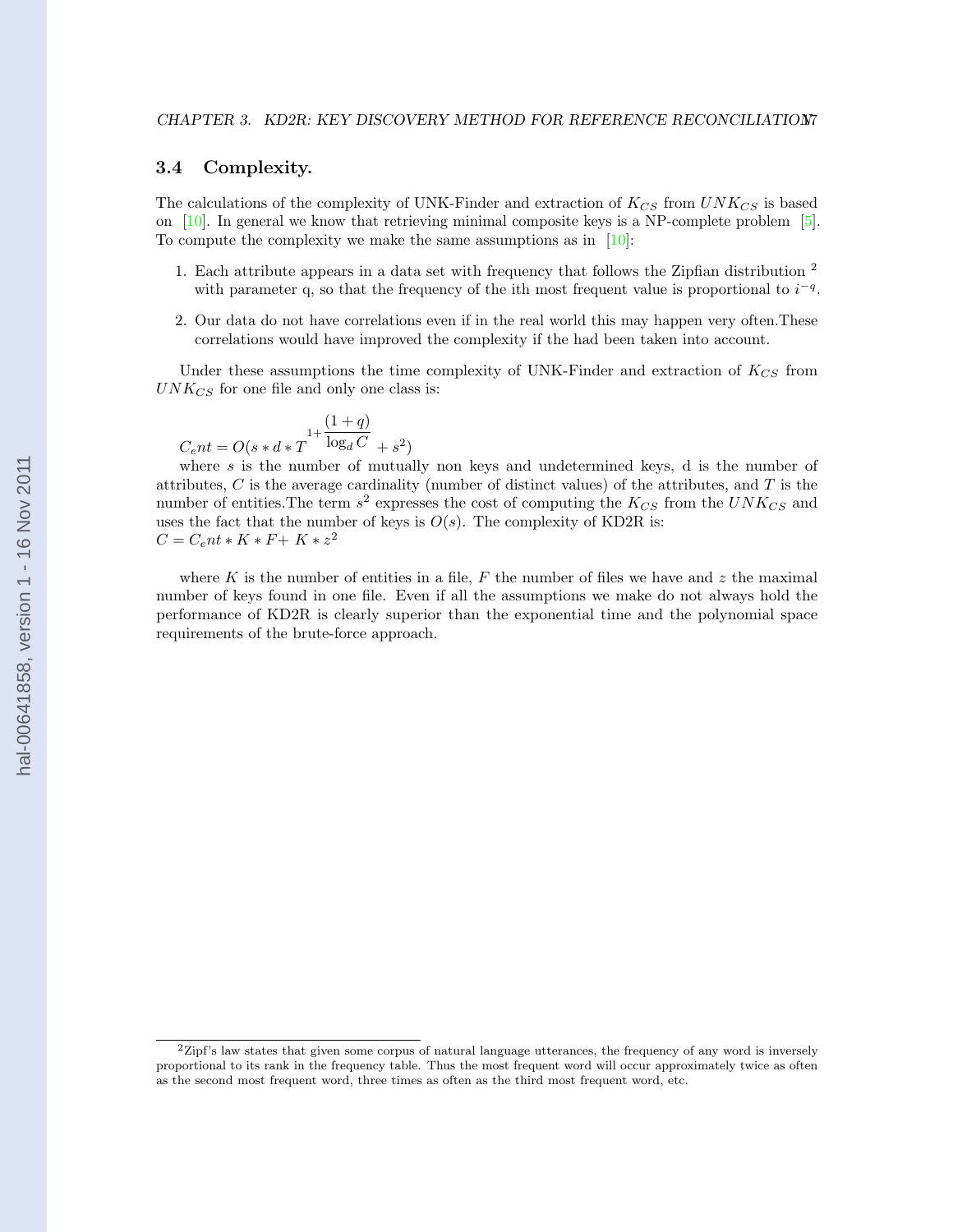#### <span id="page-21-0"></span>3.4 Complexity.

The calculations of the complexity of UNK-Finder and extraction of  $K_{CS}$  from  $UNK_{CS}$  is based on  $[10]$ . In general we know that retrieving minimal composite keys is a NP-complete problem  $[5]$ . To compute the complexity we make the same assumptions as in [\[10\]](#page-27-0):

- 1. Each attribute appears in a data set with frequency that follows the Zipfian distribution  $^{\mathrm{2}}$ with parameter q, so that the frequency of the ith most frequent value is proportional to  $i^{-q}$ .
- 2. Our data do not have correlations even if in the real world this may happen very often.These correlations would have improved the complexity if the had been taken into account.

Under these assumptions the time complexity of UNK-Finder and extraction of  $K_{CS}$  from  $UNK_{CS}$  for one file and only one class is:

$$
C_{e}nt = O(s * d * T^{1 + \frac{(1+q)}{\log_d C}} + s^2)
$$

where s is the number of mutually non keys and undetermined keys, d is the number of attributes,  $C$  is the average cardinality (number of distinct values) of the attributes, and  $T$  is the number of entities. The term  $s^2$  expresses the cost of computing the  $K_{CS}$  from the  $UNK_{CS}$  and uses the fact that the number of keys is  $O(s)$ . The complexity of KD2R is:  $C = C<sub>e</sub>nt * K * F + K * z<sup>2</sup>$ 

where K is the number of entities in a file, F the number of files we have and z the maximal number of keys found in one file. Even if all the assumptions we make do not always hold the performance of KD2R is clearly superior than the exponential time and the polynomial space requirements of the brute-force approach.

 $2Z$ ipf's law states that given some corpus of natural language utterances, the frequency of any word is inversely proportional to its rank in the frequency table. Thus the most frequent word will occur approximately twice as often as the second most frequent word, three times as often as the third most frequent word, etc.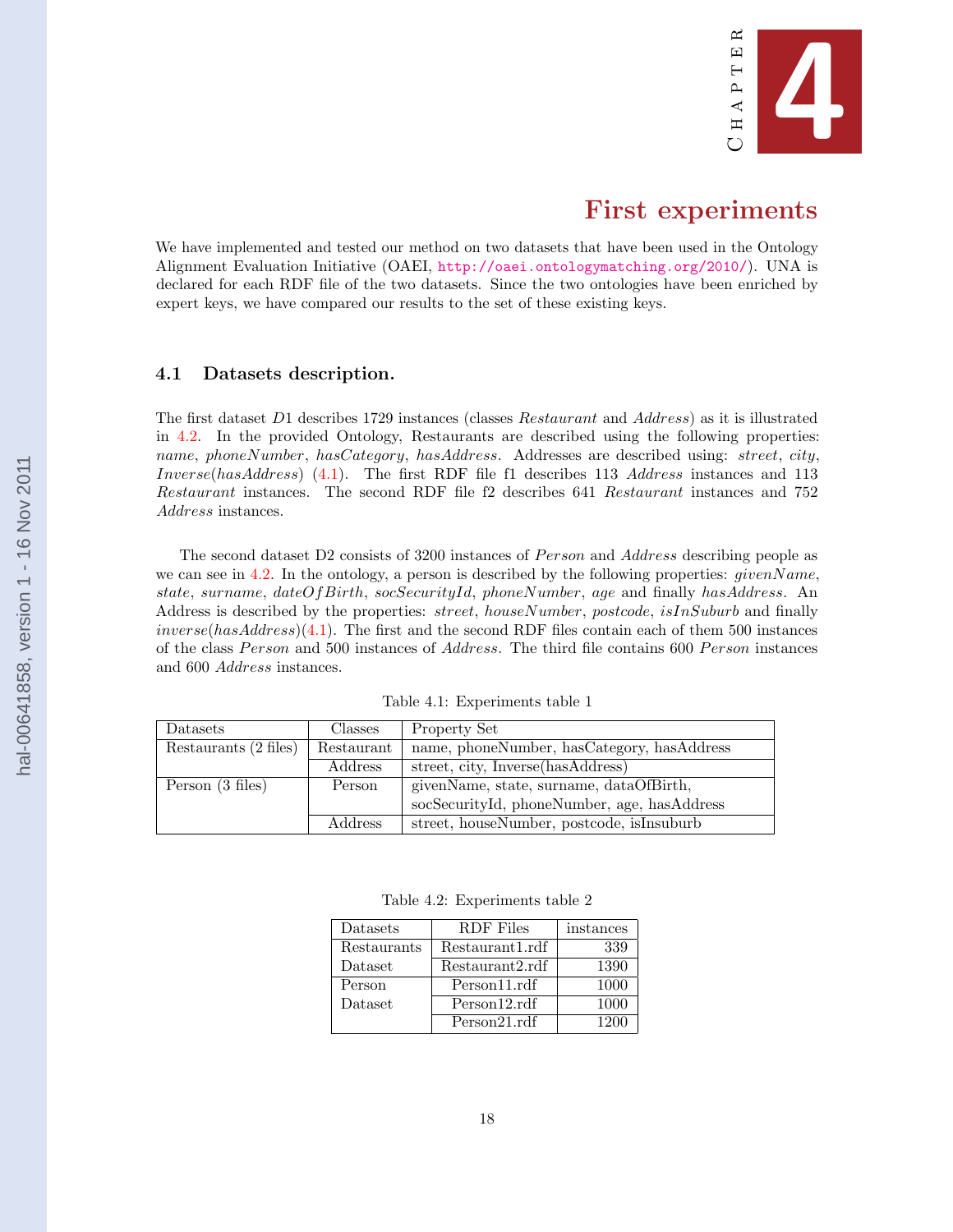

# First experiments

<span id="page-22-0"></span>We have implemented and tested our method on two datasets that have been used in the Ontology Alignment Evaluation Initiative (OAEI, <http://oaei.ontologymatching.org/2010/>). UNA is declared for each RDF file of the two datasets. Since the two ontologies have been enriched by expert keys, we have compared our results to the set of these existing keys.

#### 4.1 Datasets description.

The first dataset D1 describes 1729 instances (classes Restaurant and Address) as it is illustrated in 4.2. In the provided Ontology, Restaurants are described using the following properties: name, phoneNumber, hasCategory, hasAddress. Addresses are described using: street, city, Inverse(hasAddress) (4.1). The first RDF file f1 describes 113 Address instances and 113 Restaurant instances. The second RDF file f2 describes 641 Restaurant instances and 752 Address instances.

The second dataset D2 consists of 3200 instances of *Person* and Address describing people as we can see in 4.2. In the ontology, a person is described by the following properties:  $givenName$ , state, surname, dateOfBirth, socSecurityId, phoneNumber, age and finally hasAddress. An Address is described by the properties: *street, houseNumber, postcode, isInSuburb* and finally  $inverse(hasAddress)(4.1)$ . The first and the second RDF files contain each of them 500 instances of the class Person and 500 instances of Address. The third file contains 600 Person instances and 600 Address instances.

| Datasets              | <b>Classes</b> | Property Set                                |  |
|-----------------------|----------------|---------------------------------------------|--|
| Restaurants (2 files) | Restaurant     | name, phoneNumber, hasCategory, hasAddress  |  |
|                       | <i>Address</i> | street, city, Inverse(hasAddress)           |  |
| Person (3 files)      | Person         | givenName, state, surname, dataOfBirth,     |  |
|                       |                | socSecurityId, phoneNumber, age, hasAddress |  |
|                       | Address        | street, houseNumber, postcode, isInsuburb   |  |

Table 4.1: Experiments table 1

Table 4.2: Experiments table 2

| Datasets    | RDF Files       | instances |
|-------------|-----------------|-----------|
| Restaurants | Restaurant1.rdf | 339       |
| Dataset     | Restaurant2.rdf | 1390      |
| Person      | Person11.rdf    | 1000      |
| Dataset     | Person12.rdf    | 1000      |
|             | Person21.rdf    | 1200      |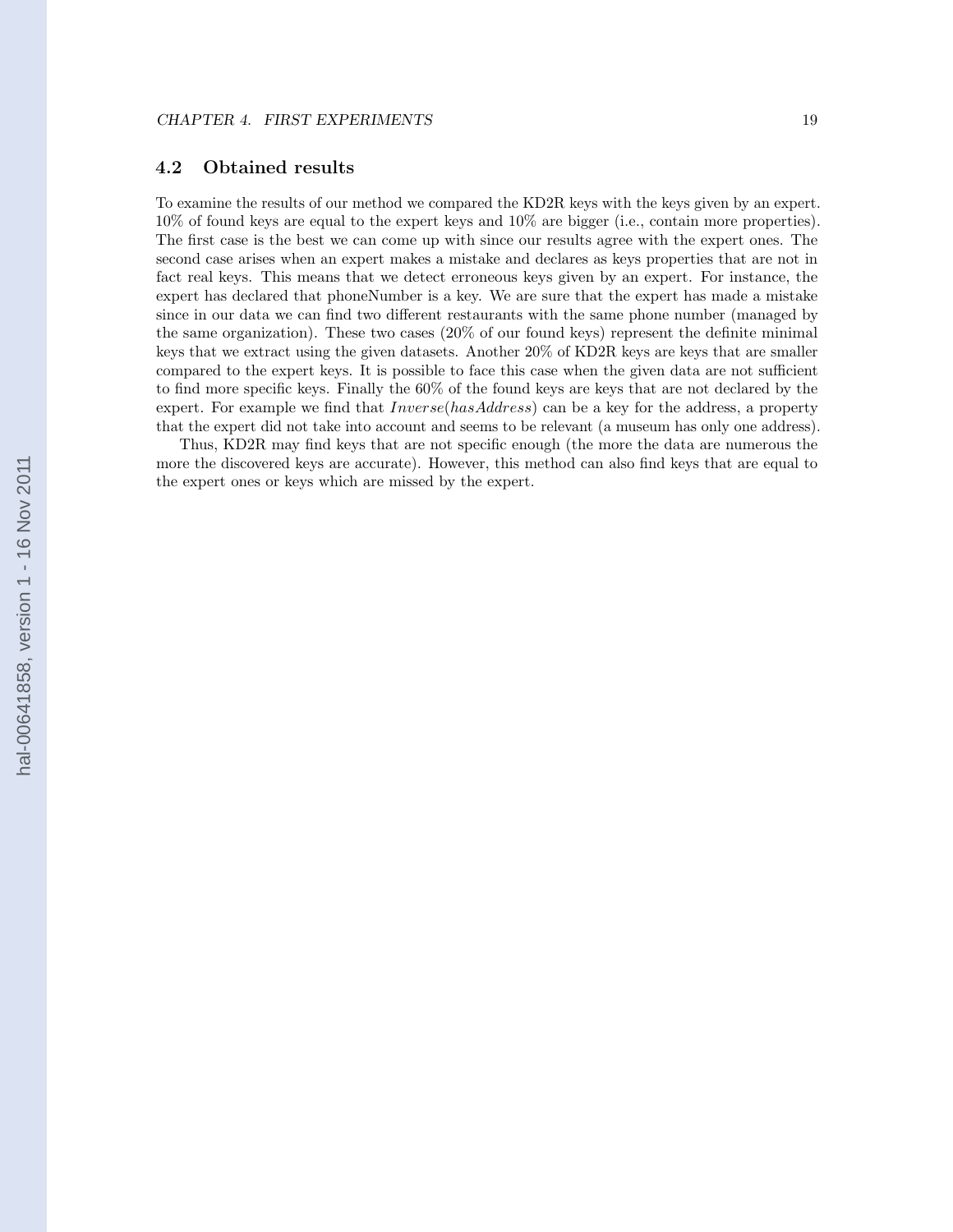### <span id="page-23-0"></span>4.2 Obtained results

To examine the results of our method we compared the KD2R keys with the keys given by an expert. 10% of found keys are equal to the expert keys and 10% are bigger (i.e., contain more properties). The first case is the best we can come up with since our results agree with the expert ones. The second case arises when an expert makes a mistake and declares as keys properties that are not in fact real keys. This means that we detect erroneous keys given by an expert. For instance, the expert has declared that phoneNumber is a key. We are sure that the expert has made a mistake since in our data we can find two different restaurants with the same phone number (managed by the same organization). These two cases (20% of our found keys) represent the definite minimal keys that we extract using the given datasets. Another 20% of KD2R keys are keys that are smaller compared to the expert keys. It is possible to face this case when the given data are not sufficient to find more specific keys. Finally the 60% of the found keys are keys that are not declared by the expert. For example we find that *Inverse(hasAddress)* can be a key for the address, a property that the expert did not take into account and seems to be relevant (a museum has only one address).

Thus, KD2R may find keys that are not specific enough (the more the data are numerous the more the discovered keys are accurate). However, this method can also find keys that are equal to the expert ones or keys which are missed by the expert.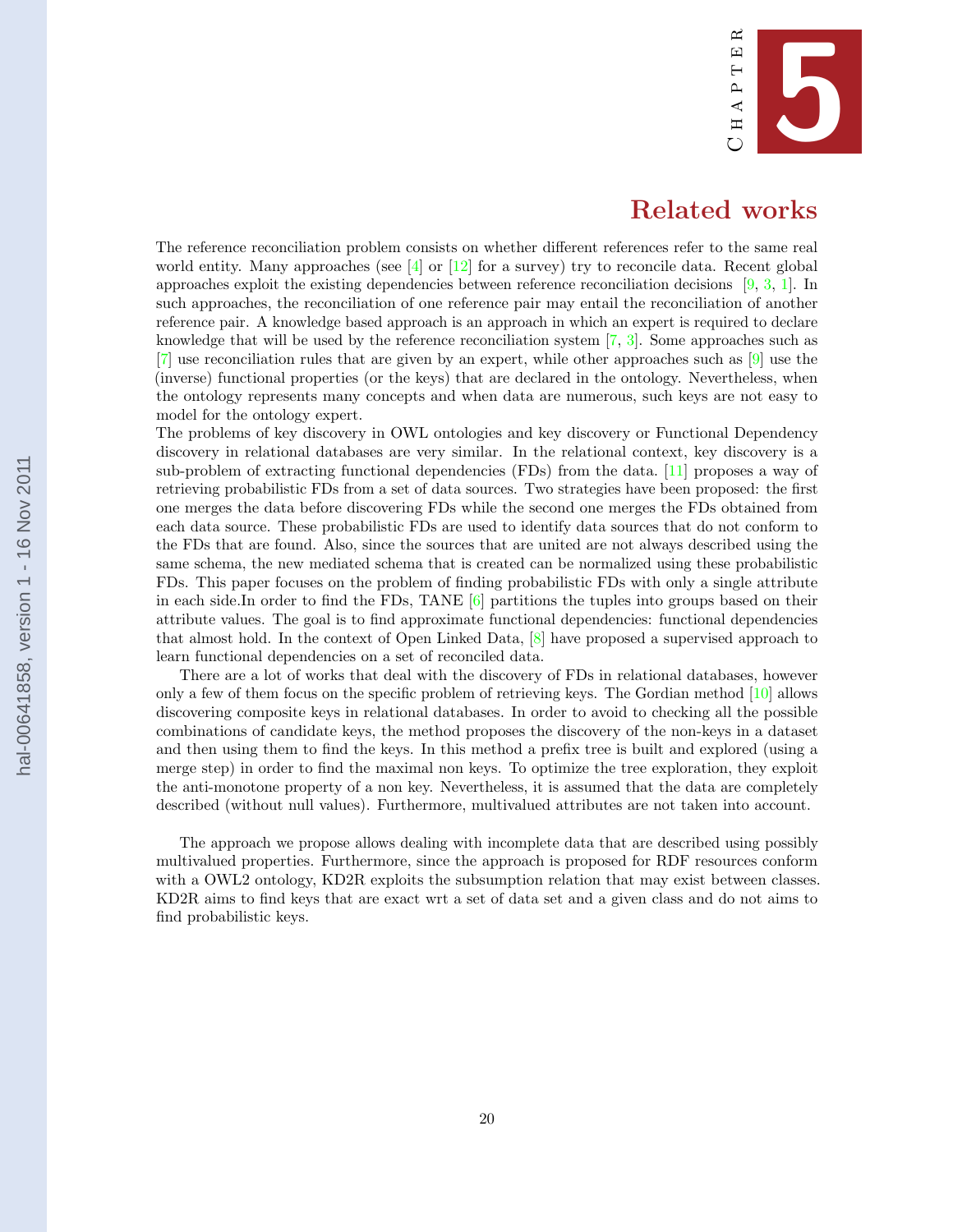

## Related works

<span id="page-24-0"></span>The reference reconciliation problem consists on whether different references refer to the same real world entity. Many approaches (see  $[4]$  or  $[12]$  for a survey) try to reconcile data. Recent global approaches exploit the existing dependencies between reference reconciliation decisions [\[9,](#page-27-0) [3,](#page-27-0) [1\]](#page-27-0). In such approaches, the reconciliation of one reference pair may entail the reconciliation of another reference pair. A knowledge based approach is an approach in which an expert is required to declare knowledge that will be used by the reference reconciliation system [\[7,](#page-27-0) [3\]](#page-27-0). Some approaches such as [\[7\]](#page-27-0) use reconciliation rules that are given by an expert, while other approaches such as [\[9\]](#page-27-0) use the (inverse) functional properties (or the keys) that are declared in the ontology. Nevertheless, when the ontology represents many concepts and when data are numerous, such keys are not easy to model for the ontology expert.

The problems of key discovery in OWL ontologies and key discovery or Functional Dependency discovery in relational databases are very similar. In the relational context, key discovery is a sub-problem of extracting functional dependencies (FDs) from the data. [\[11\]](#page-27-0) proposes a way of retrieving probabilistic FDs from a set of data sources. Two strategies have been proposed: the first one merges the data before discovering FDs while the second one merges the FDs obtained from each data source. These probabilistic FDs are used to identify data sources that do not conform to the FDs that are found. Also, since the sources that are united are not always described using the same schema, the new mediated schema that is created can be normalized using these probabilistic FDs. This paper focuses on the problem of finding probabilistic FDs with only a single attribute in each side.In order to find the FDs, TANE  $[6]$  partitions the tuples into groups based on their attribute values. The goal is to find approximate functional dependencies: functional dependencies that almost hold. In the context of Open Linked Data, [\[8\]](#page-27-0) have proposed a supervised approach to learn functional dependencies on a set of reconciled data.

There are a lot of works that deal with the discovery of FDs in relational databases, however only a few of them focus on the specific problem of retrieving keys. The Gordian method [\[10\]](#page-27-0) allows discovering composite keys in relational databases. In order to avoid to checking all the possible combinations of candidate keys, the method proposes the discovery of the non-keys in a dataset and then using them to find the keys. In this method a prefix tree is built and explored (using a merge step) in order to find the maximal non keys. To optimize the tree exploration, they exploit the anti-monotone property of a non key. Nevertheless, it is assumed that the data are completely described (without null values). Furthermore, multivalued attributes are not taken into account.

The approach we propose allows dealing with incomplete data that are described using possibly multivalued properties. Furthermore, since the approach is proposed for RDF resources conform with a OWL2 ontology, KD2R exploits the subsumption relation that may exist between classes. KD2R aims to find keys that are exact wrt a set of data set and a given class and do not aims to find probabilistic keys.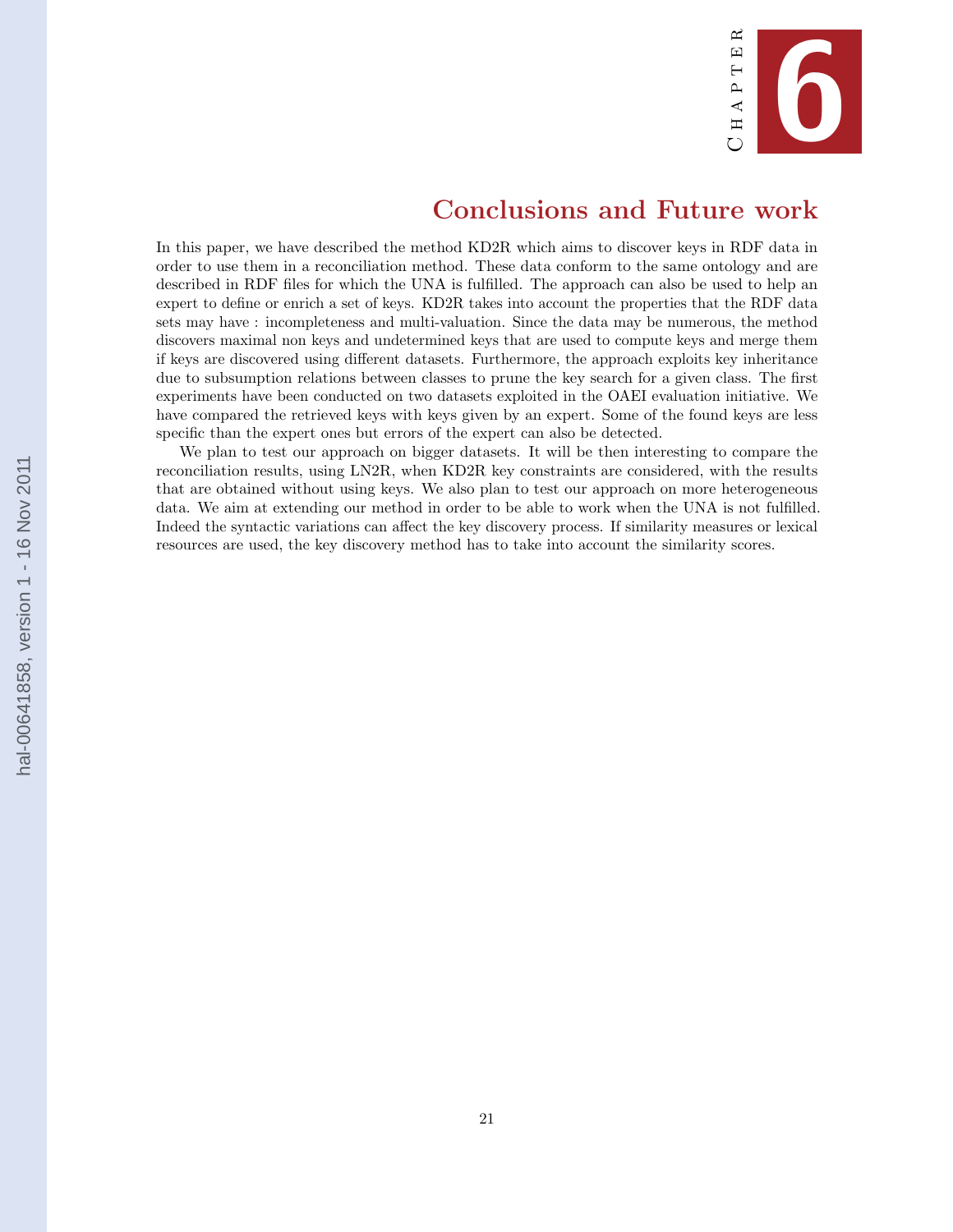

# Conclusions and Future work

<span id="page-25-0"></span>In this paper, we have described the method KD2R which aims to discover keys in RDF data in order to use them in a reconciliation method. These data conform to the same ontology and are described in RDF files for which the UNA is fulfilled. The approach can also be used to help an expert to define or enrich a set of keys. KD2R takes into account the properties that the RDF data sets may have : incompleteness and multi-valuation. Since the data may be numerous, the method discovers maximal non keys and undetermined keys that are used to compute keys and merge them if keys are discovered using different datasets. Furthermore, the approach exploits key inheritance due to subsumption relations between classes to prune the key search for a given class. The first experiments have been conducted on two datasets exploited in the OAEI evaluation initiative. We have compared the retrieved keys with keys given by an expert. Some of the found keys are less specific than the expert ones but errors of the expert can also be detected.

We plan to test our approach on bigger datasets. It will be then interesting to compare the reconciliation results, using LN2R, when KD2R key constraints are considered, with the results that are obtained without using keys. We also plan to test our approach on more heterogeneous data. We aim at extending our method in order to be able to work when the UNA is not fulfilled. Indeed the syntactic variations can affect the key discovery process. If similarity measures or lexical resources are used, the key discovery method has to take into account the similarity scores.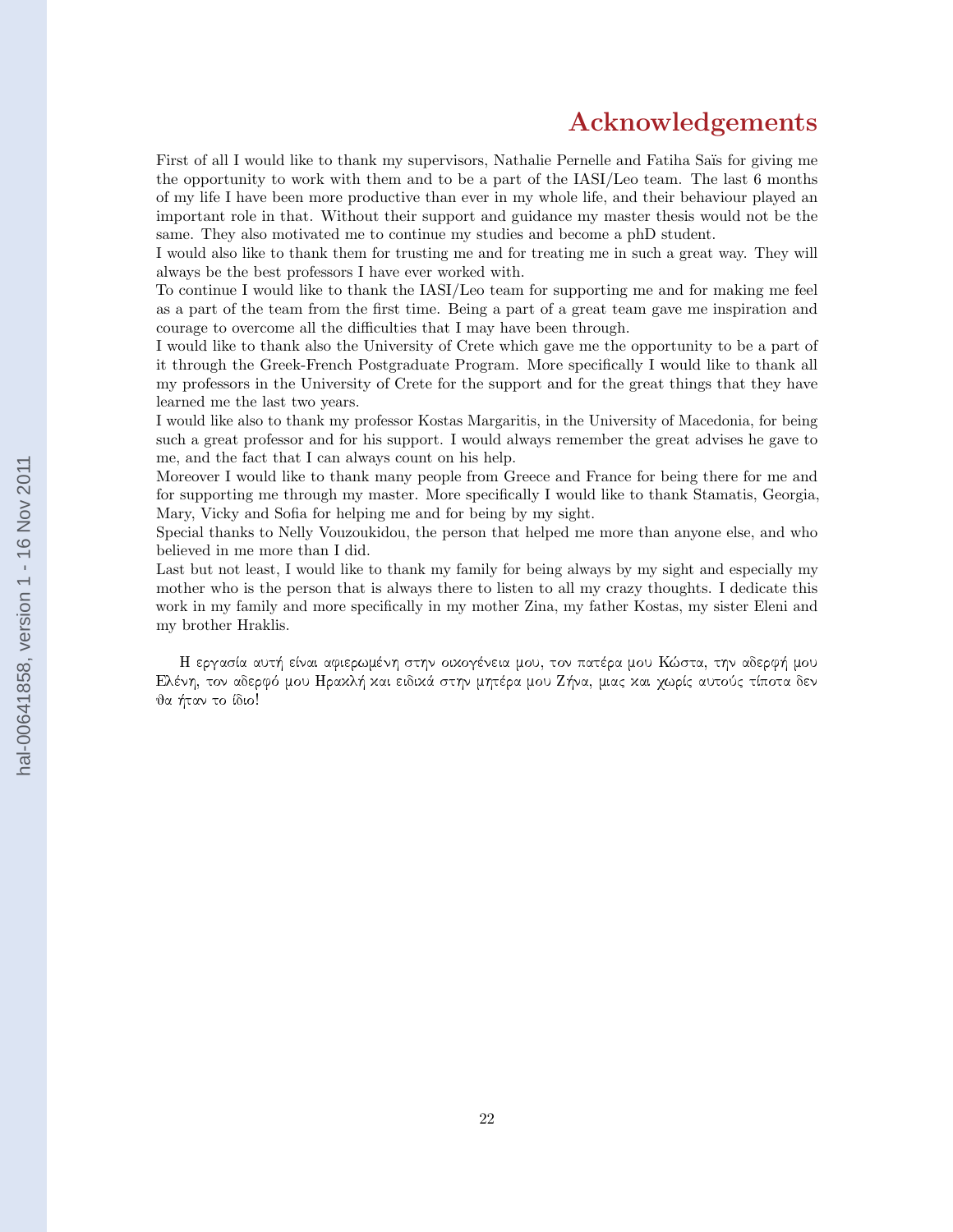## Acknowledgements

First of all I would like to thank my supervisors, Nathalie Pernelle and Fatiha Saïs for giving me the opportunity to work with them and to be a part of the IASI/Leo team. The last 6 months of my life I have been more productive than ever in my whole life, and their behaviour played an important role in that. Without their support and guidance my master thesis would not be the same. They also motivated me to continue my studies and become a phD student.

I would also like to thank them for trusting me and for treating me in such a great way. They will always be the best professors I have ever worked with.

To continue I would like to thank the IASI/Leo team for supporting me and for making me feel as a part of the team from the first time. Being a part of a great team gave me inspiration and courage to overcome all the difficulties that I may have been through.

I would like to thank also the University of Crete which gave me the opportunity to be a part of it through the Greek-French Postgraduate Program. More specifically I would like to thank all my professors in the University of Crete for the support and for the great things that they have learned me the last two years.

I would like also to thank my professor Kostas Margaritis, in the University of Macedonia, for being such a great professor and for his support. I would always remember the great advises he gave to me, and the fact that I can always count on his help.

Moreover I would like to thank many people from Greece and France for being there for me and for supporting me through my master. More specifically I would like to thank Stamatis, Georgia, Mary, Vicky and Sofia for helping me and for being by my sight.

Special thanks to Nelly Vouzoukidou, the person that helped me more than anyone else, and who believed in me more than I did.

Last but not least. I would like to thank my family for being always by my sight and especially my mother who is the person that is always there to listen to all my crazy thoughts. I dedicate this work in my family and more specifically in my mother Zina, my father Kostas, my sister Eleni and my brother Hraklis.

H εργασία αυτή είναι αφιερωμένη στην οιχογένεια μου, τον πατέρα μου Κώστα, την αδερφή μου Eλένη, τον αδερφό μου Ηραχλή χαι ειδιχά στην μητέρα μου Ζήνα, μιας χαι χωρίς αυτούς τίποτα δεν θα ήταν το ίδιο!